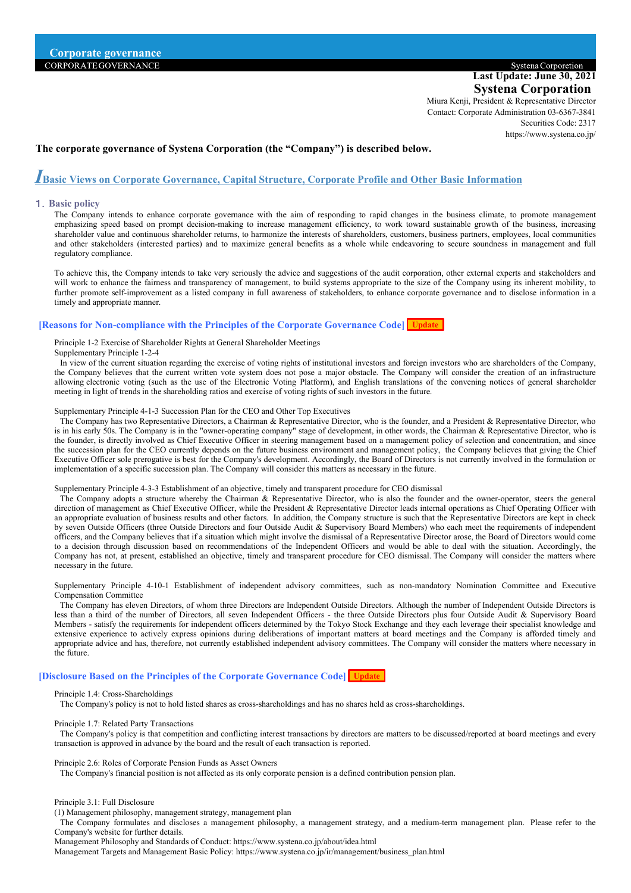# Systena Corporetion **Last Update: June 30, 2021 Systena Corporation**

Miura Kenji, President & Representative Director Contact: Corporate Administration 03-6367-3841 Securities Code: 2317 [https://www.systena.co.jp/](http://www.systena.co.jp/)

## **The corporate governance of Systena Corporation (the "Company") is described below.**

# *Ⅰ***Basic Views on Corporate Governance, Capital Structure, Corporate Profile and Other Basic Information**

## 1.**Basic policy**

The Company intends to enhance corporate governance with the aim of responding to rapid changes in the business climate, to promote management emphasizing speed based on prompt decision-making to increase management efficiency, to work toward sustainable growth of the business, increasing shareholder value and continuous shareholder returns, to harmonize the interests of shareholders, customers, business partners, employees, local communities and other stakeholders (interested parties) and to maximize general benefits as a whole while endeavoring to secure soundness in management and full regulatory compliance.

To achieve this, the Company intends to take very seriously the advice and suggestions of the audit corporation, other external experts and stakeholders and will work to enhance the fairness and transparency of management, to build systems appropriate to the size of the Company using its inherent mobility, to further promote self-improvement as a listed company in full awareness of stakeholders, to enhance corporate governance and to disclose information in a timely and appropriate manner.

## **[Reasons for Non-compliance with the Principles of the Corporate Governance Code] Update**

Principle 1-2 Exercise of Shareholder Rights at General Shareholder Meetings

Supplementary Principle 1-2-4

In view of the current situation regarding the exercise of voting rights of institutional investors and foreign investors who are shareholders of the Company, the Company believes that the current written vote system does not pose a major obstacle. The Company will consider the creation of an infrastructure allowing electronic voting (such as the use of the Electronic Voting Platform), and English translations of the convening notices of general shareholder meeting in light of trends in the shareholding ratios and exercise of voting rights of such investors in the future.

Supplementary Principle 4-1-3 Succession Plan for the CEO and Other Top Executives

The Company has two Representative Directors, a Chairman & Representative Director, who is the founder, and a President & Representative Director, who is in his early 50s. The Company is in the "owner-operating company" stage of development, in other words, the Chairman & Representative Director, who is the founder, is directly involved as Chief Executive Officer in steering management based on a management policy of selection and concentration, and since the succession plan for the CEO currently depends on the future business environment and management policy, the Company believes that giving the Chief Executive Officer sole prerogative is best for the Company's development. Accordingly, the Board of Directors is not currently involved in the formulation or implementation of a specific succession plan. The Company will consider this matters as necessary in the future.

#### Supplementary Principle 4-3-3 Establishment of an objective, timely and transparent procedure for CEO dismissal

The Company adopts a structure whereby the Chairman & Representative Director, who is also the founder and the owner-operator, steers the general direction of management as Chief Executive Officer, while the President & Representative Director leads internal operations as Chief Operating Officer with an appropriate evaluation of business results and other factors. In addition, the Company structure is such that the Representative Directors are kept in check by seven Outside Officers (three Outside Directors and four Outside Audit & Supervisory Board Members) who each meet the requirements of independent officers, and the Company believes that if a situation which might involve the dismissal of a Representative Director arose, the Board of Directors would come to a decision through discussion based on recommendations of the Independent Officers and would be able to deal with the situation. Accordingly, the Company has not, at present, established an objective, timely and transparent procedure for CEO dismissal. The Company will consider the matters where necessary in the future.

Supplementary Principle 4-10-1 Establishment of independent advisory committees, such as non-mandatory Nomination Committee and Executive Compensation Committee

The Company has eleven Directors, of whom three Directors are Independent Outside Directors. Although the number of Independent Outside Directors is less than a third of the number of Directors, all seven Independent Officers - the three Outside Directors plus four Outside Audit & Supervisory Board Members - satisfy the requirements for independent officers determined by the Tokyo Stock Exchange and they each leverage their specialist knowledge and extensive experience to actively express opinions during deliberations of important matters at board meetings and the Company is afforded timely and appropriate advice and has, therefore, not currently established independent advisory committees. The Company will consider the matters where necessary in the future.

#### **[Disclosure Based on the Principles of the Corporate Governance Code] Update**

## Principle 1.4: Cross-Shareholdings

The Company's policy is not to hold listed shares as cross-shareholdings and has no shares held as cross-shareholdings.

#### Principle 1.7: Related Party Transactions

The Company's policy is that competition and conflicting interest transactions by directors are matters to be discussed/reported at board meetings and every transaction is approved in advance by the board and the result of each transaction is reported.

#### Principle 2.6: Roles of Corporate Pension Funds as Asset Owners

The Company's financial position is not affected as its only corporate pension is a defined contribution pension plan.

#### Principle 3.1: Full Disclosure

(1) Management philosophy, management strategy, management plan

The Company formulates and discloses a management philosophy, a management strategy, and a medium-term management plan. Please refer to the Company's website for further details.

Management Philosophy and Standards of Conduct[: https://www.systena.co.jp/about/idea.html](http://www.systena.co.jp/about/idea.html)

Management Targets and Management Basic Policy: [https://www.systena.co.jp/ir/management/business\\_plan.html](http://www.systena.co.jp/ir/management/business_plan.html)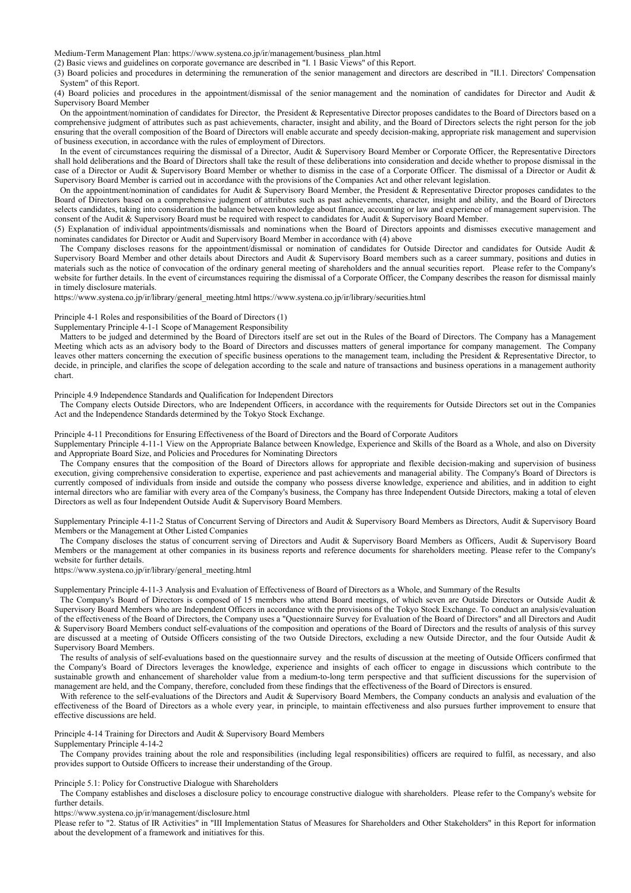Medium-Term Management Plan[: https://www.systena.co.jp/ir/management/business\\_plan.html](http://www.systena.co.jp/ir/management/business_plan.html)

(2) Basic views and guidelines on corporate governance are described in "I. 1 Basic Views" of this Report.

(3) Board policies and procedures in determining the remuneration of the senior management and directors are described in "II.1. Directors' Compensation System" of this Report.

(4) Board policies and procedures in the appointment/dismissal of the senior management and the nomination of candidates for Director and Audit & Supervisory Board Member

On the appointment/nomination of candidates for Director, the President & Representative Director proposes candidates to the Board of Directors based on a comprehensive judgment of attributes such as past achievements, character, insight and ability, and the Board of Directors selects the right person for the job ensuring that the overall composition of the Board of Directors will enable accurate and speedy decision-making, appropriate risk management and supervision of business execution, in accordance with the rules of employment of Directors.

In the event of circumstances requiring the dismissal of a Director, Audit & Supervisory Board Member or Corporate Officer, the Representative Directors shall hold deliberations and the Board of Directors shall take the result of these deliberations into consideration and decide whether to propose dismissal in the case of a Director or Audit & Supervisory Board Member or whether to dismiss in the case of a Corporate Officer. The dismissal of a Director or Audit & Supervisory Board Member is carried out in accordance with the provisions of the Companies Act and other relevant legislation.

On the appointment/nomination of candidates for Audit & Supervisory Board Member, the President & Representative Director proposes candidates to the Board of Directors based on a comprehensive judgment of attributes such as past achievements, character, insight and ability, and the Board of Directors selects candidates, taking into consideration the balance between knowledge about finance, accounting or law and experience of management supervision. The consent of the Audit & Supervisory Board must be required with respect to candidates for Audit & Supervisory Board Member.

(5) Explanation of individual appointments/dismissals and nominations when the Board of Directors appoints and dismisses executive management and nominates candidates for Director or Audit and Supervisory Board Member in accordance with (4) above

The Company discloses reasons for the appointment/dismissal or nomination of candidates for Outside Director and candidates for Outside Audit & Supervisory Board Member and other details about Directors and Audit & Supervisory Board members such as a career summary, positions and duties in materials such as the notice of convocation of the ordinary general meeting of shareholders and the annual securities report. Please refer to the Company's website for further details. In the event of circumstances requiring the dismissal of a Corporate Officer, the Company describes the reason for dismissal mainly in timely disclosure materials.

[https://www.systena.co.jp/ir/library/general\\_meeting.html](http://www.systena.co.jp/ir/library/general_meeting.html) [https://www.systena.co.jp/ir/library/securities.html](http://www.systena.co.jp/ir/library/securities.html)

## Principle 4-1 Roles and responsibilities of the Board of Directors (1)

#### Supplementary Principle 4-1-1 Scope of Management Responsibility

Matters to be judged and determined by the Board of Directors itself are set out in the Rules of the Board of Directors. The Company has a Management Meeting which acts as an advisory body to the Board of Directors and discusses matters of general importance for company management. The Company leaves other matters concerning the execution of specific business operations to the management team, including the President & Representative Director, to decide, in principle, and clarifies the scope of delegation according to the scale and nature of transactions and business operations in a management authority chart.

#### Principle 4.9 Independence Standards and Qualification for Independent Directors

The Company elects Outside Directors, who are Independent Officers, in accordance with the requirements for Outside Directors set out in the Companies Act and the Independence Standards determined by the Tokyo Stock Exchange.

Principle 4-11 Preconditions for Ensuring Effectiveness of the Board of Directors and the Board of Corporate Auditors

Supplementary Principle 4-11-1 View on the Appropriate Balance between Knowledge, Experience and Skills of the Board as a Whole, and also on Diversity and Appropriate Board Size, and Policies and Procedures for Nominating Directors

The Company ensures that the composition of the Board of Directors allows for appropriate and flexible decision-making and supervision of business execution, giving comprehensive consideration to expertise, experience and past achievements and managerial ability. The Company's Board of Directors is currently composed of individuals from inside and outside the company who possess diverse knowledge, experience and abilities, and in addition to eight internal directors who are familiar with every area of the Company's business, the Company has three Independent Outside Directors, making a total of eleven Directors as well as four Independent Outside Audit & Supervisory Board Members.

Supplementary Principle 4-11-2 Status of Concurrent Serving of Directors and Audit & Supervisory Board Members as Directors, Audit & Supervisory Board Members or the Management at Other Listed Companies

The Company discloses the status of concurrent serving of Directors and Audit & Supervisory Board Members as Officers, Audit & Supervisory Board Members or the management at other companies in its business reports and reference documents for shareholders meeting. Please refer to the Company's website for further details.

[https://www.systena.co.jp/ir/library/general\\_meeting.html](http://www.systena.co.jp/ir/library/general_meeting.html)

Supplementary Principle 4-11-3 Analysis and Evaluation of Effectiveness of Board of Directors as a Whole, and Summary of the Results

The Company's Board of Directors is composed of 15 members who attend Board meetings, of which seven are Outside Directors or Outside Audit & Supervisory Board Members who are Independent Officers in accordance with the provisions of the Tokyo Stock Exchange. To conduct an analysis/evaluation of the effectiveness of the Board of Directors, the Company uses a "Questionnaire Survey for Evaluation of the Board of Directors" and all Directors and Audit & Supervisory Board Members conduct self-evaluations of the composition and operations of the Board of Directors and the results of analysis of this survey are discussed at a meeting of Outside Officers consisting of the two Outside Directors, excluding a new Outside Director, and the four Outside Audit & Supervisory Board Members.

The results of analysis of self-evaluations based on the questionnaire survey and the results of discussion at the meeting of Outside Officers confirmed that the Company's Board of Directors leverages the knowledge, experience and insights of each officer to engage in discussions which contribute to the sustainable growth and enhancement of shareholder value from a medium-to-long term perspective and that sufficient discussions for the supervision of management are held, and the Company, therefore, concluded from these findings that the effectiveness of the Board of Directors is ensured.

With reference to the self-evaluations of the Directors and Audit & Supervisory Board Members, the Company conducts an analysis and evaluation of the effectiveness of the Board of Directors as a whole every year, in principle, to maintain effectiveness and also pursues further improvement to ensure that effective discussions are held.

Principle 4-14 Training for Directors and Audit & Supervisory Board Members

Supplementary Principle 4-14-2

The Company provides training about the role and responsibilities (including legal responsibilities) officers are required to fulfil, as necessary, and also provides support to Outside Officers to increase their understanding of the Group.

#### Principle 5.1: Policy for Constructive Dialogue with Shareholders

The Company establishes and discloses a disclosure policy to encourage constructive dialogue with shareholders. Please refer to the Company's website for further details.

[https://www.systena.co.jp/ir/management/disclosure.html](http://www.systena.co.jp/ir/management/disclosure.html)

Please refer to "2. Status of IR Activities" in "III Implementation Status of Measures for Shareholders and Other Stakeholders" in this Report for information about the development of a framework and initiatives for this.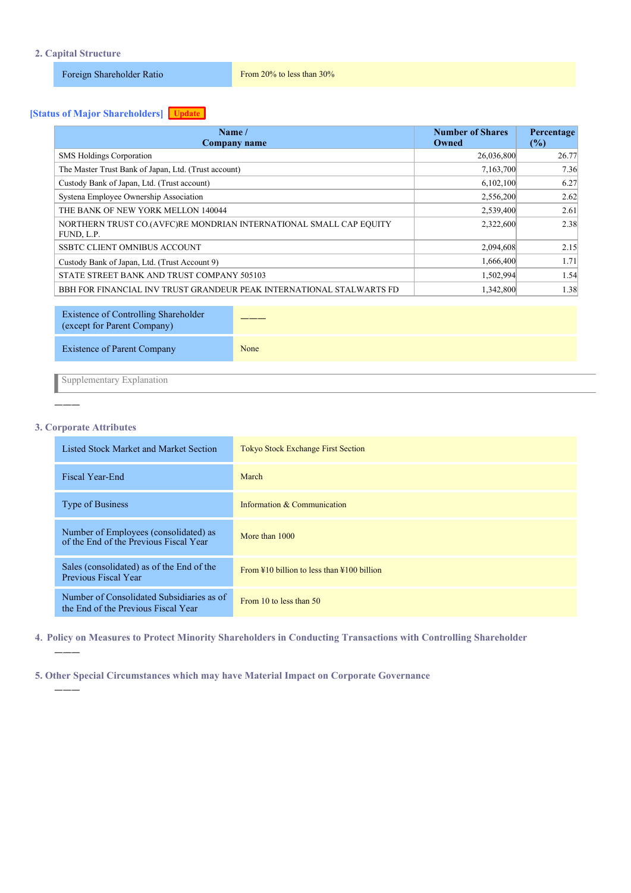# **2. Capital Structure**

Foreign Shareholder Ratio From 20% to less than 30%

# **[Status of Major Shareholders] Update**

| Name $/$<br>Company name                                                         | <b>Number of Shares</b><br>Owned | Percentage<br>(%) |
|----------------------------------------------------------------------------------|----------------------------------|-------------------|
| <b>SMS Holdings Corporation</b>                                                  | 26,036,800                       | 26.77             |
| The Master Trust Bank of Japan, Ltd. (Trust account)                             | 7,163,700                        | 7.36              |
| Custody Bank of Japan, Ltd. (Trust account)                                      | 6,102,100                        | 6.27              |
| Systema Employee Ownership Association                                           | 2,556,200                        | 2.62              |
| THE BANK OF NEW YORK MELLON 140044                                               | 2,539,400                        | 2.61              |
| NORTHERN TRUST CO.(AVFC)RE MONDRIAN INTERNATIONAL SMALL CAP EQUITY<br>FUND, L.P. | 2,322,600                        | 2.38              |
| <b>SSBTC CLIENT OMNIBUS ACCOUNT</b>                                              | 2,094,608                        | 2.15              |
| Custody Bank of Japan, Ltd. (Trust Account 9)                                    | 1,666,400                        | 1.71              |
| STATE STREET BANK AND TRUST COMPANY 505103                                       | 1,502,994                        | 1.54              |
| BBH FOR FINANCIAL INV TRUST GRANDEUR PEAK INTERNATIONAL STALWARTS FD             | 1,342,800                        | 1.38              |

| Existence of Controlling Shareholder<br>(except for Parent Company) |      |
|---------------------------------------------------------------------|------|
| Existence of Parent Company                                         | None |
|                                                                     |      |

Supplementary Explanation

# **3. Corporate Attributes**

―――

―――

―――

| Listed Stock Market and Market Section                                           | <b>Tokyo Stock Exchange First Section</b>                        |
|----------------------------------------------------------------------------------|------------------------------------------------------------------|
| Fiscal Year-End                                                                  | March                                                            |
| <b>Type of Business</b>                                                          | Information & Communication                                      |
| Number of Employees (consolidated) as<br>of the End of the Previous Fiscal Year  | More than 1000                                                   |
| Sales (consolidated) as of the End of the<br>Previous Fiscal Year                | From $\frac{10}{2}$ billion to less than $\frac{100}{2}$ billion |
| Number of Consolidated Subsidiaries as of<br>the End of the Previous Fiscal Year | From 10 to less than 50                                          |

**4**.**Policy on Measures to Protect Minority Shareholders in Conducting Transactions with Controlling Shareholder**

**5. Other Special Circumstances which may have Material Impact on Corporate Governance**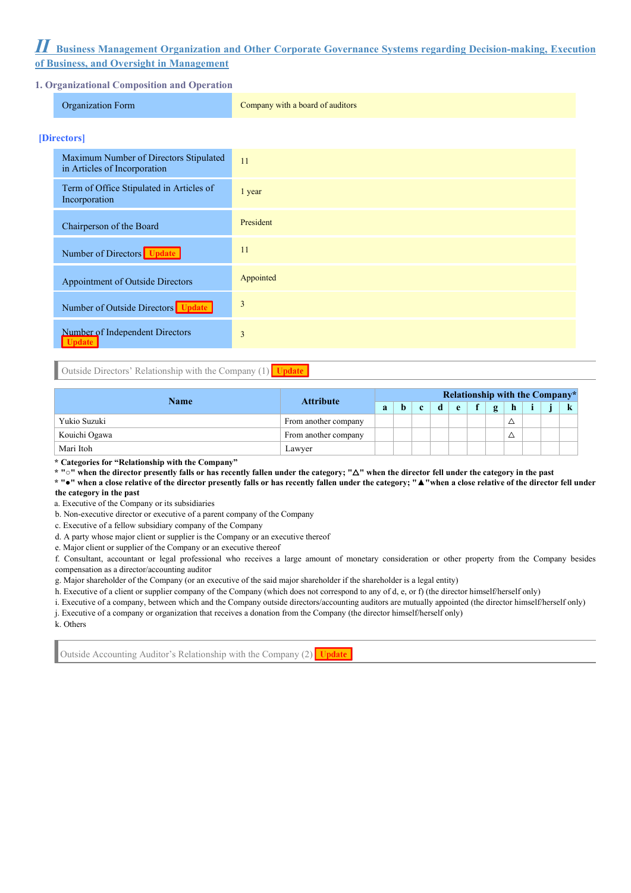# *Ⅱ* **Business Management Organization and Other Corporate Governance Systems regarding Decision-making, Execution of Business, and Oversight in Management**

# **1. Organizational Composition and Operation**

| I. Organizational Composition and Operation                            |                                  |  |  |  |  |  |
|------------------------------------------------------------------------|----------------------------------|--|--|--|--|--|
| Organization Form                                                      | Company with a board of auditors |  |  |  |  |  |
| [Directors]                                                            |                                  |  |  |  |  |  |
| Maximum Number of Directors Stipulated<br>in Articles of Incorporation | 11                               |  |  |  |  |  |
| Term of Office Stipulated in Articles of<br>Incorporation              | 1 year                           |  |  |  |  |  |
| Chairperson of the Board                                               | President                        |  |  |  |  |  |
| Number of Directors Update                                             | 11                               |  |  |  |  |  |
| Appointment of Outside Directors                                       | Appointed                        |  |  |  |  |  |
| Number of Outside Directors Update                                     | 3                                |  |  |  |  |  |
| Number of Independent Directors<br><b>Update</b>                       | 3                                |  |  |  |  |  |

Outside Directors' Relationship with the Company  $(1)$  Update

| Name          | <b>Attribute</b>     |  | <b>Relationship with the Company*</b> |  |              |  |   |  |               |  |  |  |  |  |
|---------------|----------------------|--|---------------------------------------|--|--------------|--|---|--|---------------|--|--|--|--|--|
|               | $\bf{a}$             |  | <sup>o</sup>                          |  | $\mathbf{r}$ |  | g |  |               |  |  |  |  |  |
| Yukio Suzuki  | From another company |  |                                       |  |              |  |   |  | ↗             |  |  |  |  |  |
| Kouichi Ogawa | From another company |  |                                       |  |              |  |   |  | <u>r</u><br>∸ |  |  |  |  |  |
| Mari Itoh     | Lawver               |  |                                       |  |              |  |   |  |               |  |  |  |  |  |

**\* Categories for "Relationship with the Company"**

**\* "○" when the director presently falls or has recently fallen under the category; "**△**" when the director fell under the category in the past** 

**\* "●" when a close relative of the director presently falls or has recently fallen under the category; "▲"when a close relative of the director fell under the category in the past** 

a. Executive of the Company or its subsidiaries

b. Non-executive director or executive of a parent company of the Company

c. Executive of a fellow subsidiary company of the Company

d. A party whose major client or supplier is the Company or an executive thereof

e. Major client or supplier of the Company or an executive thereof

f. Consultant, accountant or legal professional who receives a large amount of monetary consideration or other property from the Company besides compensation as a director/accounting auditor

g. Major shareholder of the Company (or an executive of the said major shareholder if the shareholder is a legal entity)

h. Executive of a client or supplier company of the Company (which does not correspond to any of d, e, or f) (the director himself/herself only)

i. Executive of a company, between which and the Company outside directors/accounting auditors are mutually appointed (the director himself/herself only)

j. Executive of a company or organization that receives a donation from the Company (the director himself/herself only)

k. Others

Outside Accounting Auditor's Relationship with the Company (2) Update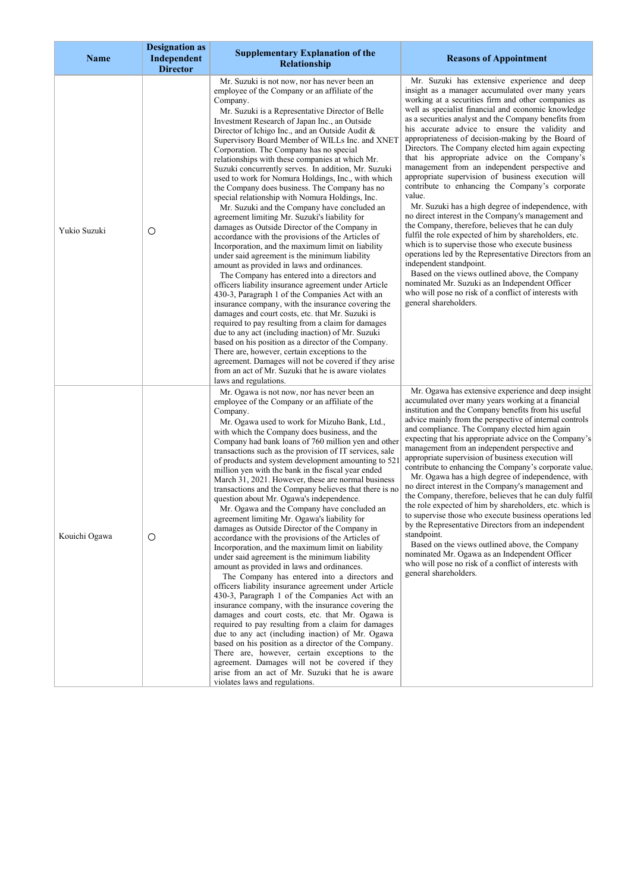| Name          | <b>Designation as</b><br>Independent<br><b>Director</b> | <b>Supplementary Explanation of the</b><br>Relationship                                                                                                                                                                                                                                                                                                                                                                                                                                                                                                                                                                                                                                                                                                                                                                                                                                                                                                                                                                                                                                                                                                                                                                                                                                                                                                                                                                                                                                                                                                                                                                         | <b>Reasons of Appointment</b>                                                                                                                                                                                                                                                                                                                                                                                                                                                                                                                                                                                                                                                                                                                                                                                                                                                                                                                                                                                                                                                                                                                                                                                       |
|---------------|---------------------------------------------------------|---------------------------------------------------------------------------------------------------------------------------------------------------------------------------------------------------------------------------------------------------------------------------------------------------------------------------------------------------------------------------------------------------------------------------------------------------------------------------------------------------------------------------------------------------------------------------------------------------------------------------------------------------------------------------------------------------------------------------------------------------------------------------------------------------------------------------------------------------------------------------------------------------------------------------------------------------------------------------------------------------------------------------------------------------------------------------------------------------------------------------------------------------------------------------------------------------------------------------------------------------------------------------------------------------------------------------------------------------------------------------------------------------------------------------------------------------------------------------------------------------------------------------------------------------------------------------------------------------------------------------------|---------------------------------------------------------------------------------------------------------------------------------------------------------------------------------------------------------------------------------------------------------------------------------------------------------------------------------------------------------------------------------------------------------------------------------------------------------------------------------------------------------------------------------------------------------------------------------------------------------------------------------------------------------------------------------------------------------------------------------------------------------------------------------------------------------------------------------------------------------------------------------------------------------------------------------------------------------------------------------------------------------------------------------------------------------------------------------------------------------------------------------------------------------------------------------------------------------------------|
| Yukio Suzuki  | O                                                       | Mr. Suzuki is not now, nor has never been an<br>employee of the Company or an affiliate of the<br>Company.<br>Mr. Suzuki is a Representative Director of Belle<br>Investment Research of Japan Inc., an Outside<br>Director of Ichigo Inc., and an Outside Audit &<br>Supervisory Board Member of WILLs Inc. and XNET<br>Corporation. The Company has no special<br>relationships with these companies at which Mr.<br>Suzuki concurrently serves. In addition, Mr. Suzuki<br>used to work for Nomura Holdings, Inc., with which<br>the Company does business. The Company has no<br>special relationship with Nomura Holdings, Inc.<br>Mr. Suzuki and the Company have concluded an<br>agreement limiting Mr. Suzuki's liability for<br>damages as Outside Director of the Company in<br>accordance with the provisions of the Articles of<br>Incorporation, and the maximum limit on liability<br>under said agreement is the minimum liability<br>amount as provided in laws and ordinances.<br>The Company has entered into a directors and<br>officers liability insurance agreement under Article<br>430-3, Paragraph 1 of the Companies Act with an<br>insurance company, with the insurance covering the<br>damages and court costs, etc. that Mr. Suzuki is<br>required to pay resulting from a claim for damages<br>due to any act (including inaction) of Mr. Suzuki<br>based on his position as a director of the Company.<br>There are, however, certain exceptions to the<br>agreement. Damages will not be covered if they arise<br>from an act of Mr. Suzuki that he is aware violates<br>laws and regulations. | Mr. Suzuki has extensive experience and deep<br>insight as a manager accumulated over many years<br>working at a securities firm and other companies as<br>well as specialist financial and economic knowledge<br>as a securities analyst and the Company benefits from<br>his accurate advice to ensure the validity and<br>appropriateness of decision-making by the Board of<br>Directors. The Company elected him again expecting<br>that his appropriate advice on the Company's<br>management from an independent perspective and<br>appropriate supervision of business execution will<br>contribute to enhancing the Company's corporate<br>value.<br>Mr. Suzuki has a high degree of independence, with<br>no direct interest in the Company's management and<br>the Company, therefore, believes that he can duly<br>fulfil the role expected of him by shareholders, etc.<br>which is to supervise those who execute business<br>operations led by the Representative Directors from an<br>independent standpoint.<br>Based on the views outlined above, the Company<br>nominated Mr. Suzuki as an Independent Officer<br>who will pose no risk of a conflict of interests with<br>general shareholders. |
| Kouichi Ogawa | O                                                       | Mr. Ogawa is not now, nor has never been an<br>employee of the Company or an affiliate of the<br>Company.<br>Mr. Ogawa used to work for Mizuho Bank, Ltd.,<br>with which the Company does business, and the<br>Company had bank loans of 760 million yen and other<br>transactions such as the provision of IT services, sale<br>of products and system development amounting to 521<br>million yen with the bank in the fiscal year ended<br>March 31, 2021. However, these are normal business<br>transactions and the Company believes that there is no<br>question about Mr. Ogawa's independence.<br>Mr. Ogawa and the Company have concluded an<br>agreement limiting Mr. Ogawa's liability for<br>damages as Outside Director of the Company in<br>accordance with the provisions of the Articles of<br>Incorporation, and the maximum limit on liability<br>under said agreement is the minimum liability<br>amount as provided in laws and ordinances.<br>The Company has entered into a directors and<br>officers liability insurance agreement under Article<br>430-3, Paragraph 1 of the Companies Act with an<br>insurance company, with the insurance covering the<br>damages and court costs, etc. that Mr. Ogawa is<br>required to pay resulting from a claim for damages<br>due to any act (including inaction) of Mr. Ogawa<br>based on his position as a director of the Company.<br>There are, however, certain exceptions to the<br>agreement. Damages will not be covered if they<br>arise from an act of Mr. Suzuki that he is aware<br>violates laws and regulations.                                   | Mr. Ogawa has extensive experience and deep insight<br>accumulated over many years working at a financial<br>institution and the Company benefits from his useful<br>advice mainly from the perspective of internal controls<br>and compliance. The Company elected him again<br>expecting that his appropriate advice on the Company's<br>management from an independent perspective and<br>appropriate supervision of business execution will<br>contribute to enhancing the Company's corporate value.<br>Mr. Ogawa has a high degree of independence, with<br>no direct interest in the Company's management and<br>the Company, therefore, believes that he can duly fulfil<br>the role expected of him by shareholders, etc. which is<br>to supervise those who execute business operations led<br>by the Representative Directors from an independent<br>standpoint.<br>Based on the views outlined above, the Company<br>nominated Mr. Ogawa as an Independent Officer<br>who will pose no risk of a conflict of interests with<br>general shareholders.                                                                                                                                                    |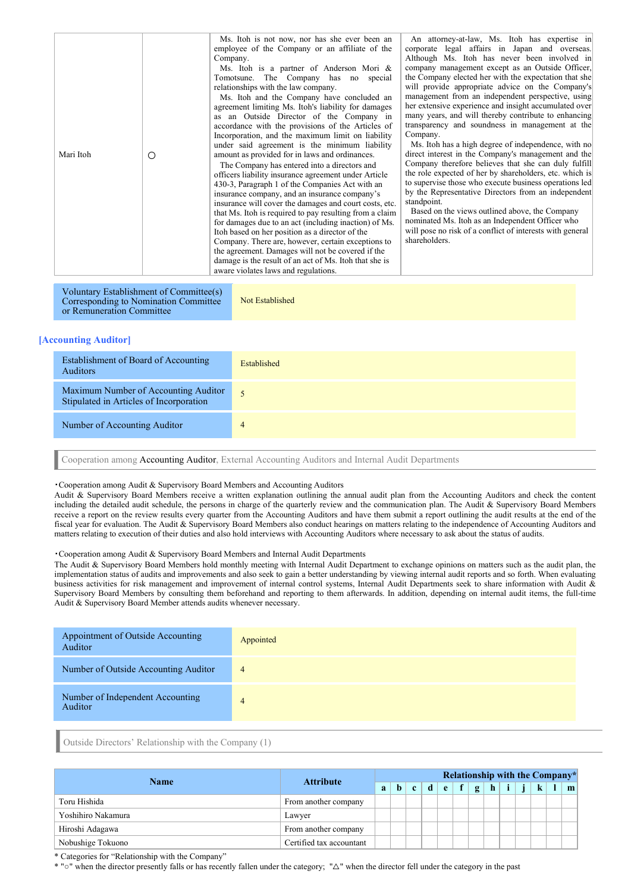| Mari Itoh | Ο | Ms. Itoh is not now, nor has she ever been an<br>employee of the Company or an affiliate of the<br>Company.<br>Ms. Itoh is a partner of Anderson Mori &<br>Tomotsune. The Company has no special<br>relationships with the law company.<br>Ms. Itoh and the Company have concluded an<br>agreement limiting Ms. Itoh's liability for damages<br>as an Outside Director of the Company in<br>accordance with the provisions of the Articles of<br>Incorporation, and the maximum limit on liability<br>under said agreement is the minimum liability<br>amount as provided for in laws and ordinances.<br>The Company has entered into a directors and<br>officers liability insurance agreement under Article<br>430-3, Paragraph 1 of the Companies Act with an<br>insurance company, and an insurance company's<br>insurance will cover the damages and court costs, etc.<br>that Ms. Itoh is required to pay resulting from a claim<br>for damages due to an act (including inaction) of Ms.<br>Itoh based on her position as a director of the<br>Company. There are, however, certain exceptions to<br>the agreement. Damages will not be covered if the<br>damage is the result of an act of Ms. Itoh that she is<br>aware violates laws and regulations. | An attorney-at-law, Ms. Itoh has expertise in<br>corporate legal affairs in Japan and overseas.<br>Although Ms. Itoh has never been involved in<br>company management except as an Outside Officer,<br>the Company elected her with the expectation that she<br>will provide appropriate advice on the Company's<br>management from an independent perspective, using<br>her extensive experience and insight accumulated over<br>many years, and will thereby contribute to enhancing<br>transparency and soundness in management at the<br>Company.<br>Ms. Itoh has a high degree of independence, with no<br>direct interest in the Company's management and the<br>Company therefore believes that she can duly fulfill<br>the role expected of her by shareholders, etc. which is<br>to supervise those who execute business operations led<br>by the Representative Directors from an independent<br>standpoint.<br>Based on the views outlined above, the Company<br>nominated Ms. Itoh as an Independent Officer who<br>will pose no risk of a conflict of interests with general<br>shareholders. |
|-----------|---|-----------------------------------------------------------------------------------------------------------------------------------------------------------------------------------------------------------------------------------------------------------------------------------------------------------------------------------------------------------------------------------------------------------------------------------------------------------------------------------------------------------------------------------------------------------------------------------------------------------------------------------------------------------------------------------------------------------------------------------------------------------------------------------------------------------------------------------------------------------------------------------------------------------------------------------------------------------------------------------------------------------------------------------------------------------------------------------------------------------------------------------------------------------------------------------------------------------------------------------------------------------------|------------------------------------------------------------------------------------------------------------------------------------------------------------------------------------------------------------------------------------------------------------------------------------------------------------------------------------------------------------------------------------------------------------------------------------------------------------------------------------------------------------------------------------------------------------------------------------------------------------------------------------------------------------------------------------------------------------------------------------------------------------------------------------------------------------------------------------------------------------------------------------------------------------------------------------------------------------------------------------------------------------------------------------------------------------------------------------------------------------|

Voluntary Establishment of Committee(s) Corresponding to Nomination Committee or Remuneration Committee

Not Established

# **[Accounting Auditor]**

| Establishment of Board of Accounting<br><b>Auditors</b>                         | Established    |
|---------------------------------------------------------------------------------|----------------|
| Maximum Number of Accounting Auditor<br>Stipulated in Articles of Incorporation | 5              |
| Number of Accounting Auditor                                                    | $\overline{4}$ |
|                                                                                 |                |

Cooperation among Accounting Auditor, External Accounting Auditors and Internal Audit Departments

#### ・Cooperation among Audit & Supervisory Board Members and Accounting Auditors

Audit & Supervisory Board Members receive a written explanation outlining the annual audit plan from the Accounting Auditors and check the content including the detailed audit schedule, the persons in charge of the quarterly review and the communication plan. The Audit & Supervisory Board Members receive a report on the review results every quarter from the Accounting Auditors and have them submit a report outlining the audit results at the end of the fiscal year for evaluation. The Audit & Supervisory Board Members also conduct hearings on matters relating to the independence of Accounting Auditors and matters relating to execution of their duties and also hold interviews with Accounting Auditors where necessary to ask about the status of audits.

## ・Cooperation among Audit & Supervisory Board Members and Internal Audit Departments

The Audit & Supervisory Board Members hold monthly meeting with Internal Audit Department to exchange opinions on matters such as the audit plan, the implementation status of audits and improvements and also seek to gain a better understanding by viewing internal audit reports and so forth. When evaluating business activities for risk management and improvement of internal control systems, Internal Audit Departments seek to share information with Audit & Supervisory Board Members by consulting them beforehand and reporting to them afterwards. In addition, depending on internal audit items, the full-time Audit & Supervisory Board Member attends audits whenever necessary.

| Appointment of Outside Accounting<br>Auditor | Appointed      |
|----------------------------------------------|----------------|
| Number of Outside Accounting Auditor         | $\overline{4}$ |
| Number of Independent Accounting<br>Auditor  | $\overline{4}$ |

Outside Directors' Relationship with the Company (1)

| <b>Name</b>        | <b>Attribute</b>         | Relationship with the Company* |   |      |  |     |  |              |   |             |         |   |
|--------------------|--------------------------|--------------------------------|---|------|--|-----|--|--------------|---|-------------|---------|---|
|                    |                          | a                              | h | $-c$ |  | d e |  | $\mathbf{g}$ | h | $\ $ i $\ $ | $\bf k$ | m |
| Toru Hishida       | From another company     |                                |   |      |  |     |  |              |   |             |         |   |
| Yoshihiro Nakamura | Lawyer                   |                                |   |      |  |     |  |              |   |             |         |   |
| Hiroshi Adagawa    | From another company     |                                |   |      |  |     |  |              |   |             |         |   |
| Nobushige Tokuono  | Certified tax accountant |                                |   |      |  |     |  |              |   |             |         |   |

\* Categories for "Relationship with the Company"

\* "○" when the director presently falls or has recently fallen under the category; "△" when the director fell under the category in the past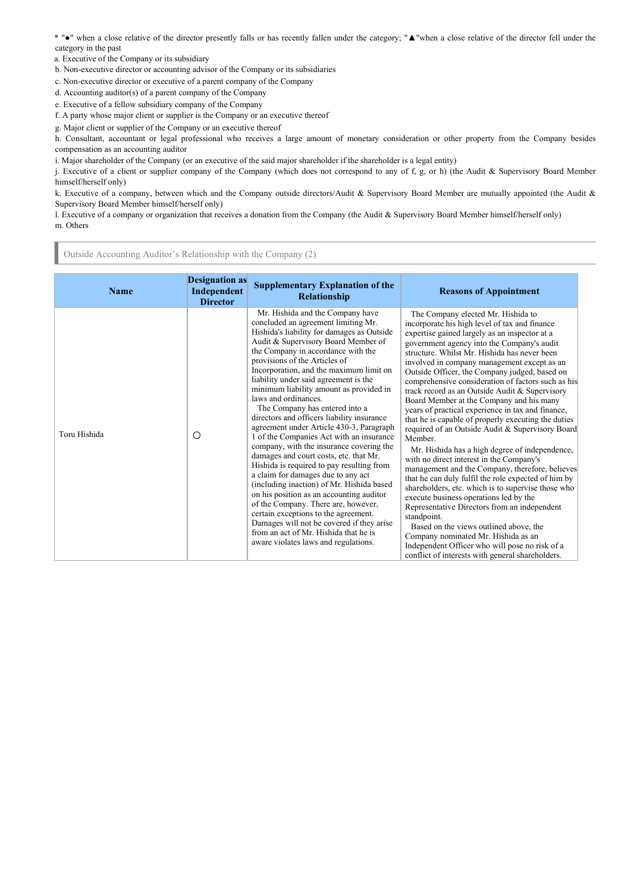\* "●" when a close relative of the director presently falls or has recently fallen under the category; "▲"when a close relative of the director fell under the category in the past

- a. Executive of the Company or its subsidiary
- b. Non-executive director or accounting advisor of the Company or its subsidiaries

c. Non-executive director or executive of a parent company of the Company

- d. Accounting auditor(s) of a parent company of the Company
- e. Executive of a fellow subsidiary company of the Company
- f. A party whose major client or supplier is the Company or an executive thereof
- g. Major client or supplier of the Company or an executive thereof

h. Consultant, accountant or legal professional who receives a large amount of monetary consideration or other property from the Company besides compensation as an accounting auditor

i. Major shareholder of the Company (or an executive of the said major shareholder if the shareholder is a legal entity)

j. Executive of a client or supplier company of the Company (which does not correspond to any of f, g, or h) (the Audit & Supervisory Board Member himself/herself only)

k. Executive of a company, between which and the Company outside directors/Audit & Supervisory Board Member are mutually appointed (the Audit & Supervisory Board Member himself/herself only)

l. Executive of a company or organization that receives a donation from the Company (the Audit & Supervisory Board Member himself/herself only) m. Others

Outside Accounting Auditor's Relationship with the Company (2)

| <b>Name</b>  | <b>Designation as</b><br>Independent<br><b>Director</b> | <b>Supplementary Explanation of the</b><br>Relationship                                                                                                                                                                                                                                                                                                                                                                                                                                                                                                                                                                                                                                                                                                                                                                                                                                                                                                                                                                                           | <b>Reasons of Appointment</b>                                                                                                                                                                                                                                                                                                                                                                                                                                                                                                                                                                                                                                                                                                                                                                                                                                                                                                                                                                                                                                                                                                                                                                                                   |
|--------------|---------------------------------------------------------|---------------------------------------------------------------------------------------------------------------------------------------------------------------------------------------------------------------------------------------------------------------------------------------------------------------------------------------------------------------------------------------------------------------------------------------------------------------------------------------------------------------------------------------------------------------------------------------------------------------------------------------------------------------------------------------------------------------------------------------------------------------------------------------------------------------------------------------------------------------------------------------------------------------------------------------------------------------------------------------------------------------------------------------------------|---------------------------------------------------------------------------------------------------------------------------------------------------------------------------------------------------------------------------------------------------------------------------------------------------------------------------------------------------------------------------------------------------------------------------------------------------------------------------------------------------------------------------------------------------------------------------------------------------------------------------------------------------------------------------------------------------------------------------------------------------------------------------------------------------------------------------------------------------------------------------------------------------------------------------------------------------------------------------------------------------------------------------------------------------------------------------------------------------------------------------------------------------------------------------------------------------------------------------------|
| Toru Hishida | O                                                       | Mr. Hishida and the Company have<br>concluded an agreement limiting Mr.<br>Hishida's liability for damages as Outside<br>Audit & Supervisory Board Member of<br>the Company in accordance with the<br>provisions of the Articles of<br>Incorporation, and the maximum limit on<br>liability under said agreement is the<br>minimum liability amount as provided in<br>laws and ordinances.<br>The Company has entered into a<br>directors and officers liability insurance<br>agreement under Article 430-3, Paragraph<br>1 of the Companies Act with an insurance<br>company, with the insurance covering the<br>damages and court costs, etc. that Mr.<br>Hishida is required to pay resulting from<br>a claim for damages due to any act<br>(including inaction) of Mr. Hishida based<br>on his position as an accounting auditor<br>of the Company. There are, however,<br>certain exceptions to the agreement.<br>Damages will not be covered if they arise<br>from an act of Mr. Hishida that he is<br>aware violates laws and regulations. | The Company elected Mr. Hishida to<br>incorporate his high level of tax and finance<br>expertise gained largely as an inspector at a<br>government agency into the Company's audit<br>structure. Whilst Mr. Hishida has never been<br>involved in company management except as an<br>Outside Officer, the Company judged, based on<br>comprehensive consideration of factors such as his<br>track record as an Outside Audit & Supervisory<br>Board Member at the Company and his many<br>years of practical experience in tax and finance,<br>that he is capable of properly executing the duties<br>required of an Outside Audit & Supervisory Board<br>Member.<br>Mr. Hishida has a high degree of independence,<br>with no direct interest in the Company's<br>management and the Company, therefore, believes<br>that he can duly fulfil the role expected of him by<br>shareholders, etc. which is to supervise those who<br>execute business operations led by the<br>Representative Directors from an independent<br>standpoint.<br>Based on the views outlined above, the<br>Company nominated Mr. Hishida as an<br>Independent Officer who will pose no risk of a<br>conflict of interests with general shareholders. |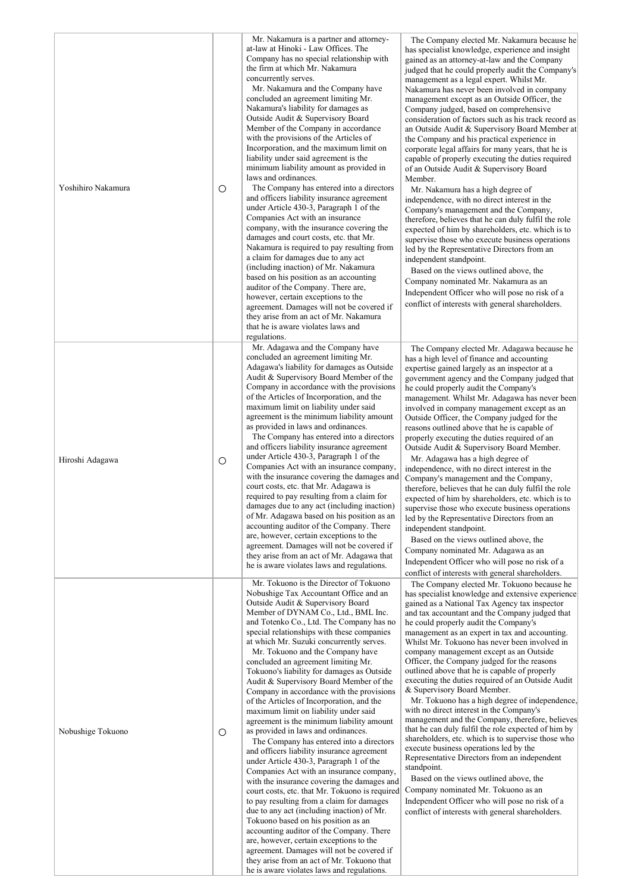| Yoshihiro Nakamura | O       | Mr. Nakamura is a partner and attorney-<br>at-law at Hinoki - Law Offices. The<br>Company has no special relationship with<br>the firm at which Mr. Nakamura<br>concurrently serves.<br>Mr. Nakamura and the Company have<br>concluded an agreement limiting Mr.<br>Nakamura's liability for damages as<br>Outside Audit & Supervisory Board<br>Member of the Company in accordance<br>with the provisions of the Articles of<br>Incorporation, and the maximum limit on<br>liability under said agreement is the<br>minimum liability amount as provided in<br>laws and ordinances.<br>The Company has entered into a directors<br>and officers liability insurance agreement<br>under Article 430-3, Paragraph 1 of the<br>Companies Act with an insurance<br>company, with the insurance covering the<br>damages and court costs, etc. that Mr.<br>Nakamura is required to pay resulting from<br>a claim for damages due to any act<br>(including inaction) of Mr. Nakamura<br>based on his position as an accounting<br>auditor of the Company. There are,<br>however, certain exceptions to the<br>agreement. Damages will not be covered if<br>they arise from an act of Mr. Nakamura<br>that he is aware violates laws and<br>regulations.                                                   | The Company elected Mr. Nakamura because he<br>has specialist knowledge, experience and insight<br>gained as an attorney-at-law and the Company<br>judged that he could properly audit the Company's<br>management as a legal expert. Whilst Mr.<br>Nakamura has never been involved in company<br>management except as an Outside Officer, the<br>Company judged, based on comprehensive<br>consideration of factors such as his track record as<br>an Outside Audit & Supervisory Board Member at<br>the Company and his practical experience in<br>corporate legal affairs for many years, that he is<br>capable of properly executing the duties required<br>of an Outside Audit & Supervisory Board<br>Member.<br>Mr. Nakamura has a high degree of<br>independence, with no direct interest in the<br>Company's management and the Company,<br>therefore, believes that he can duly fulfil the role<br>expected of him by shareholders, etc. which is to<br>supervise those who execute business operations<br>led by the Representative Directors from an<br>independent standpoint.<br>Based on the views outlined above, the<br>Company nominated Mr. Nakamura as an<br>Independent Officer who will pose no risk of a<br>conflict of interests with general shareholders. |
|--------------------|---------|-----------------------------------------------------------------------------------------------------------------------------------------------------------------------------------------------------------------------------------------------------------------------------------------------------------------------------------------------------------------------------------------------------------------------------------------------------------------------------------------------------------------------------------------------------------------------------------------------------------------------------------------------------------------------------------------------------------------------------------------------------------------------------------------------------------------------------------------------------------------------------------------------------------------------------------------------------------------------------------------------------------------------------------------------------------------------------------------------------------------------------------------------------------------------------------------------------------------------------------------------------------------------------------------------------|-------------------------------------------------------------------------------------------------------------------------------------------------------------------------------------------------------------------------------------------------------------------------------------------------------------------------------------------------------------------------------------------------------------------------------------------------------------------------------------------------------------------------------------------------------------------------------------------------------------------------------------------------------------------------------------------------------------------------------------------------------------------------------------------------------------------------------------------------------------------------------------------------------------------------------------------------------------------------------------------------------------------------------------------------------------------------------------------------------------------------------------------------------------------------------------------------------------------------------------------------------------------------------------|
| Hiroshi Adagawa    | $\circ$ | Mr. Adagawa and the Company have<br>concluded an agreement limiting Mr.<br>Adagawa's liability for damages as Outside<br>Audit & Supervisory Board Member of the<br>Company in accordance with the provisions<br>of the Articles of Incorporation, and the<br>maximum limit on liability under said<br>agreement is the minimum liability amount<br>as provided in laws and ordinances.<br>The Company has entered into a directors<br>and officers liability insurance agreement<br>under Article 430-3, Paragraph 1 of the<br>Companies Act with an insurance company,<br>with the insurance covering the damages and<br>court costs, etc. that Mr. Adagawa is<br>required to pay resulting from a claim for<br>damages due to any act (including inaction)<br>of Mr. Adagawa based on his position as an<br>accounting auditor of the Company. There<br>are, however, certain exceptions to the<br>agreement. Damages will not be covered if<br>they arise from an act of Mr. Adagawa that<br>he is aware violates laws and regulations.                                                                                                                                                                                                                                                         | The Company elected Mr. Adagawa because he<br>has a high level of finance and accounting<br>expertise gained largely as an inspector at a<br>government agency and the Company judged that<br>he could properly audit the Company's<br>management. Whilst Mr. Adagawa has never been<br>involved in company management except as an<br>Outside Officer, the Company judged for the<br>reasons outlined above that he is capable of<br>properly executing the duties required of an<br>Outside Audit & Supervisory Board Member.<br>Mr. Adagawa has a high degree of<br>independence, with no direct interest in the<br>Company's management and the Company,<br>therefore, believes that he can duly fulfil the role<br>expected of him by shareholders, etc. which is to<br>supervise those who execute business operations<br>led by the Representative Directors from an<br>independent standpoint.<br>Based on the views outlined above, the<br>Company nominated Mr. Adagawa as an<br>Independent Officer who will pose no risk of a<br>conflict of interests with general shareholders.                                                                                                                                                                                       |
| Nobushige Tokuono  | O       | Mr. Tokuono is the Director of Tokuono<br>Nobushige Tax Accountant Office and an<br>Outside Audit & Supervisory Board<br>Member of DYNAM Co., Ltd., BML Inc.<br>and Totenko Co., Ltd. The Company has no<br>special relationships with these companies<br>at which Mr. Suzuki concurrently serves.<br>Mr. Tokuono and the Company have<br>concluded an agreement limiting Mr.<br>Tokuono's liability for damages as Outside<br>Audit & Supervisory Board Member of the<br>Company in accordance with the provisions<br>of the Articles of Incorporation, and the<br>maximum limit on liability under said<br>agreement is the minimum liability amount<br>as provided in laws and ordinances.<br>The Company has entered into a directors<br>and officers liability insurance agreement<br>under Article 430-3, Paragraph 1 of the<br>Companies Act with an insurance company,<br>with the insurance covering the damages and<br>court costs, etc. that Mr. Tokuono is required<br>to pay resulting from a claim for damages<br>due to any act (including inaction) of Mr.<br>Tokuono based on his position as an<br>accounting auditor of the Company. There<br>are, however, certain exceptions to the<br>agreement. Damages will not be covered if<br>they arise from an act of Mr. Tokuono that | The Company elected Mr. Tokuono because he<br>has specialist knowledge and extensive experience<br>gained as a National Tax Agency tax inspector<br>and tax accountant and the Company judged that<br>he could properly audit the Company's<br>management as an expert in tax and accounting.<br>Whilst Mr. Tokuono has never been involved in<br>company management except as an Outside<br>Officer, the Company judged for the reasons<br>outlined above that he is capable of properly<br>executing the duties required of an Outside Audit<br>& Supervisory Board Member.<br>Mr. Tokuono has a high degree of independence,<br>with no direct interest in the Company's<br>management and the Company, therefore, believes<br>that he can duly fulfil the role expected of him by<br>shareholders, etc. which is to supervise those who<br>execute business operations led by the<br>Representative Directors from an independent<br>standpoint.<br>Based on the views outlined above, the<br>Company nominated Mr. Tokuono as an<br>Independent Officer who will pose no risk of a<br>conflict of interests with general shareholders.                                                                                                                                         |

he is aware violates laws and regulations .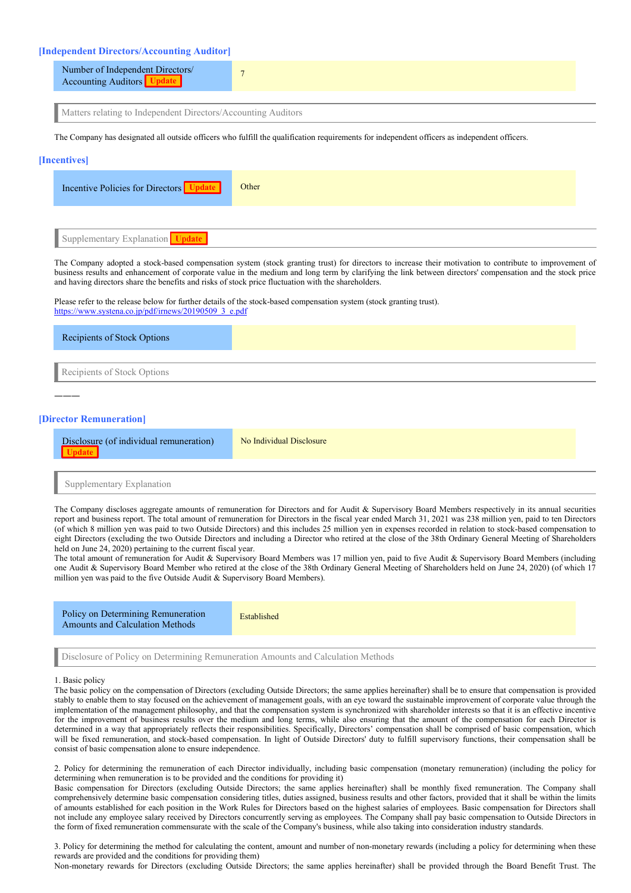## **[Independent Directors/Accounting Auditor]**

| Number of Independent Directors/<br>Accounting Auditors |  |
|---------------------------------------------------------|--|
|                                                         |  |

Matters relating to Independent Directors/Accounting Auditors

The Company has designated all outside officers who fulfill the qualification requirements for independent officers as independent officers.

#### **[Incentives]**

| Incentive Policies for Directors Update | Other |
|-----------------------------------------|-------|
|                                         |       |
| Supplementary Explanation Update        |       |

The Company adopted a stock-based compensation system (stock granting trust) for directors to increase their motivation to contribute to improvement of business results and enhancement of corporate value in the medium and long term by clarifying the link between directors' compensation and the stock price and having directors share the benefits and risks of stock price fluctuation with the shareholders.

Please refer to the release below for further details of the stock-based compensation system (stock granting trust). [https://www.systena.co.jp/pdf/irnews/20190509\\_3\\_e.pdf](https://www.systena.co.jp/pdf/irnews/20190509_3_e.pdf)

| Recipients of Stock Options |  |
|-----------------------------|--|
| Recipients of Stock Options |  |
|                             |  |
| [Director Remuneration]     |  |

| Disclosure (of individual remuneration)<br>$-$ panel | No Individual Disclosure |
|------------------------------------------------------|--------------------------|
|                                                      |                          |

Supplementary Explanation

The Company discloses aggregate amounts of remuneration for Directors and for Audit & Supervisory Board Members respectively in its annual securities report and business report. The total amount of remuneration for Directors in the fiscal year ended March 31, 2021 was 238 million yen, paid to ten Directors (of which 8 million yen was paid to two Outside Directors) and this includes 25 million yen in expenses recorded in relation to stock-based compensation to eight Directors (excluding the two Outside Directors and including a Director who retired at the close of the 38th Ordinary General Meeting of Shareholders held on June 24, 2020) pertaining to the current fiscal year.

The total amount of remuneration for Audit & Supervisory Board Members was 17 million yen, paid to five Audit & Supervisory Board Members (including one Audit & Supervisory Board Member who retired at the close of the 38th Ordinary General Meeting of Shareholders held on June 24, 2020) (of which 17 million yen was paid to the five Outside Audit & Supervisory Board Members).

Policy on Determining Remuneration Amounts and Calculation Methods

Established

Disclosure of Policy on Determining Remuneration Amounts and Calculation Methods

## 1. Basic policy

The basic policy on the compensation of Directors (excluding Outside Directors; the same applies hereinafter) shall be to ensure that compensation is provided stably to enable them to stay focused on the achievement of management goals, with an eye toward the sustainable improvement of corporate value through the implementation of the management philosophy, and that the compensation system is synchronized with shareholder interests so that it is an effective incentive for the improvement of business results over the medium and long terms, while also ensuring that the amount of the compensation for each Director is determined in a way that appropriately reflects their responsibilities. Specifically, Directors' compensation shall be comprised of basic compensation, which will be fixed remuneration, and stock-based compensation. In light of Outside Directors' duty to fulfill supervisory functions, their compensation shall be consist of basic compensation alone to ensure independence.

2. Policy for determining the remuneration of each Director individually, including basic compensation (monetary remuneration) (including the policy for determining when remuneration is to be provided and the conditions for providing it)

Basic compensation for Directors (excluding Outside Directors; the same applies hereinafter) shall be monthly fixed remuneration. The Company shall comprehensively determine basic compensation considering titles, duties assigned, business results and other factors, provided that it shall be within the limits of amounts established for each position in the Work Rules for Directors based on the highest salaries of employees. Basic compensation for Directors shall not include any employee salary received by Directors concurrently serving as employees. The Company shall pay basic compensation to Outside Directors in the form of fixed remuneration commensurate with the scale of the Company's business, while also taking into consideration industry standards.

3. Policy for determining the method for calculating the content, amount and number of non-monetary rewards (including a policy for determining when these rewards are provided and the conditions for providing them)

Non-monetary rewards for Directors (excluding Outside Directors; the same applies hereinafter) shall be provided through the Board Benefit Trust. The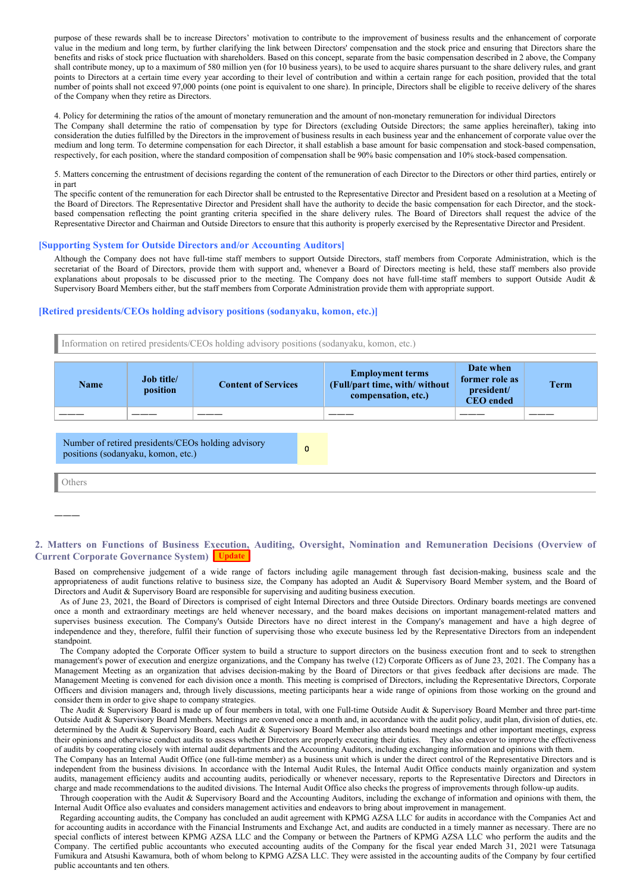purpose of these rewards shall be to increase Directors' motivation to contribute to the improvement of business results and the enhancement of corporate value in the medium and long term, by further clarifying the link between Directors' compensation and the stock price and ensuring that Directors share the benefits and risks of stock price fluctuation with shareholders. Based on this concept, separate from the basic compensation described in 2 above, the Company shall contribute money, up to a maximum of 580 million yen (for 10 business years), to be used to acquire shares pursuant to the share delivery rules, and grant points to Directors at a certain time every year according to their level of contribution and within a certain range for each position, provided that the total number of points shall not exceed 97,000 points (one point is equivalent to one share). In principle, Directors shall be eligible to receive delivery of the shares of the Company when they retire as Directors.

4. Policy for determining the ratios of the amount of monetary remuneration and the amount of non-monetary remuneration for individual Directors The Company shall determine the ratio of compensation by type for Directors (excluding Outside Directors; the same applies hereinafter), taking into consideration the duties fulfilled by the Directors in the improvement of business results in each business year and the enhancement of corporate value over the medium and long term. To determine compensation for each Director, it shall establish a base amount for basic compensation and stock-based compensation, respectively, for each position, where the standard composition of compensation shall be 90% basic compensation and 10% stock-based compensation.

5. Matters concerning the entrustment of decisions regarding the content of the remuneration of each Director to the Directors or other third parties, entirely or in part

The specific content of the remuneration for each Director shall be entrusted to the Representative Director and President based on a resolution at a Meeting of the Board of Directors. The Representative Director and President shall have the authority to decide the basic compensation for each Director, and the stockbased compensation reflecting the point granting criteria specified in the share delivery rules. The Board of Directors shall request the advice of the Representative Director and Chairman and Outside Directors to ensure that this authority is properly exercised by the Representative Director and President.

## **[Supporting System for Outside Directors and/or Accounting Auditors]**

Although the Company does not have full-time staff members to support Outside Directors, staff members from Corporate Administration, which is the secretariat of the Board of Directors, provide them with support and, whenever a Board of Directors meeting is held, these staff members also provide explanations about proposals to be discussed prior to the meeting. The Company does not have full-time staff members to support Outside Audit & Supervisory Board Members either, but the staff members from Corporate Administration provide them with appropriate support.

## **[Retired presidents/CEOs holding advisory positions (sodanyaku, komon, etc.)]**

Information on retired presidents/CEOs holding advisory positions (sodanyaku, komon, etc.)

| <b>Name</b>                                                                                              | <b>Job title/</b><br>position | <b>Content of Services</b> |  | <b>Employment terms</b><br>(Full/part time, with/ without<br>compensation, etc.) | Date when<br>former role as<br>president/<br><b>CEO</b> ended | Term |
|----------------------------------------------------------------------------------------------------------|-------------------------------|----------------------------|--|----------------------------------------------------------------------------------|---------------------------------------------------------------|------|
|                                                                                                          |                               |                            |  |                                                                                  |                                                               |      |
| Number of retired presidents/CEOs holding advisory<br>$\mathbf{0}$<br>positions (sodanyaku, komon, etc.) |                               |                            |  |                                                                                  |                                                               |      |

Others

―――

# **2. Matters on Functions of Business Execution, Auditing, Oversight, Nomination and Remuneration Decisions (Overview of Current Corporate Governance System) Update**

Based on comprehensive judgement of a wide range of factors including agile management through fast decision-making, business scale and the appropriateness of audit functions relative to business size, the Company has adopted an Audit & Supervisory Board Member system, and the Board of Directors and Audit & Supervisory Board are responsible for supervising and auditing business execution.

As of June 23, 2021, the Board of Directors is comprised of eight Internal Directors and three Outside Directors. Ordinary boards meetings are convened once a month and extraordinary meetings are held whenever necessary, and the board makes decisions on important management-related matters and supervises business execution. The Company's Outside Directors have no direct interest in the Company's management and have a high degree of independence and they, therefore, fulfil their function of supervising those who execute business led by the Representative Directors from an independent standpoint.

The Company adopted the Corporate Officer system to build a structure to support directors on the business execution front and to seek to strengthen management's power of execution and energize organizations, and the Company has twelve (12) Corporate Officers as of June 23, 2021. The Company has a Management Meeting as an organization that advises decision-making by the Board of Directors or that gives feedback after decisions are made. The Management Meeting is convened for each division once a month. This meeting is comprised of Directors, including the Representative Directors, Corporate Officers and division managers and, through lively discussions, meeting participants hear a wide range of opinions from those working on the ground and consider them in order to give shape to company strategies.

The Audit & Supervisory Board is made up of four members in total, with one Full-time Outside Audit & Supervisory Board Member and three part-time Outside Audit & Supervisory Board Members. Meetings are convened once a month and, in accordance with the audit policy, audit plan, division of duties, etc. determined by the Audit & Supervisory Board, each Audit & Supervisory Board Member also attends board meetings and other important meetings, express their opinions and otherwise conduct audits to assess whether Directors are properly executing their duties. They also endeavor to improve the effectiveness of audits by cooperating closely with internal audit departments and the Accounting Auditors, including exchanging information and opinions with them.

The Company has an Internal Audit Office (one full-time member) as a business unit which is under the direct control of the Representative Directors and is independent from the business divisions. In accordance with the Internal Audit Rules, the Internal Audit Office conducts mainly organization and system audits, management efficiency audits and accounting audits, periodically or whenever necessary, reports to the Representative Directors and Directors in charge and made recommendations to the audited divisions. The Internal Audit Office also checks the progress of improvements through follow-up audits.

Through cooperation with the Audit & Supervisory Board and the Accounting Auditors, including the exchange of information and opinions with them, the Internal Audit Office also evaluates and considers management activities and endeavors to bring about improvement in management.

Regarding accounting audits, the Company has concluded an audit agreement with KPMG AZSA LLC for audits in accordance with the Companies Act and for accounting audits in accordance with the Financial Instruments and Exchange Act, and audits are conducted in a timely manner as necessary. There are no special conflicts of interest between KPMG AZSA LLC and the Company or between the Partners of KPMG AZSA LLC who perform the audits and the Company. The certified public accountants who executed accounting audits of the Company for the fiscal year ended March 31, 2021 were Tatsunaga Fumikura and Atsushi Kawamura, both of whom belong to KPMG AZSA LLC. They were assisted in the accounting audits of the Company by four certified public accountants and ten others.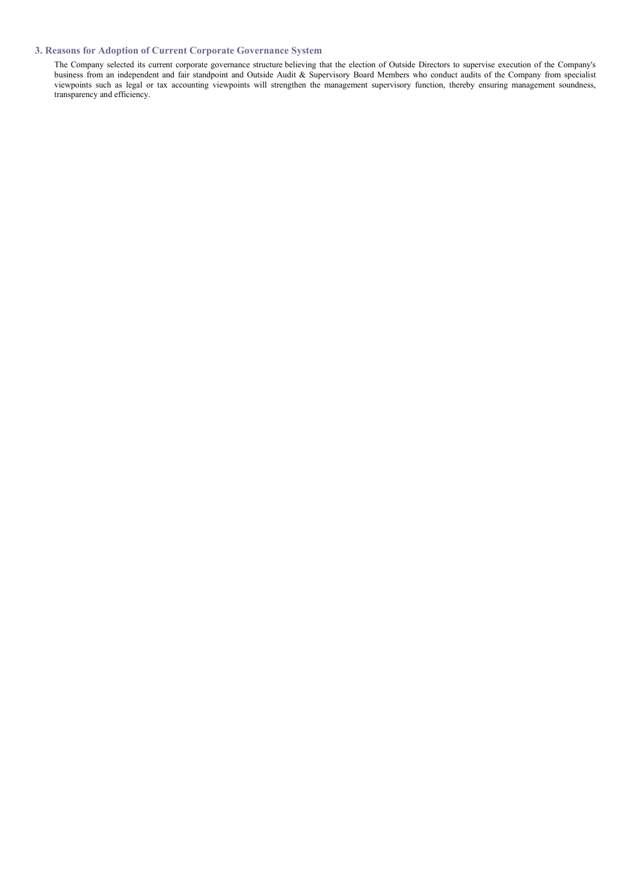# **3. Reasons for Adoption of Current Corporate Governance System**

The Company selected its current corporate governance structure believing that the election of Outside Directors to supervise execution of the Company's business from an independent and fair standpoint and Outside Audit & Supervisory Board Members who conduct audits of the Company from specialist viewpoints such as legal or tax accounting viewpoints will strengthen the management supervisory function, thereby ensuring management soundness, transparency and efficiency.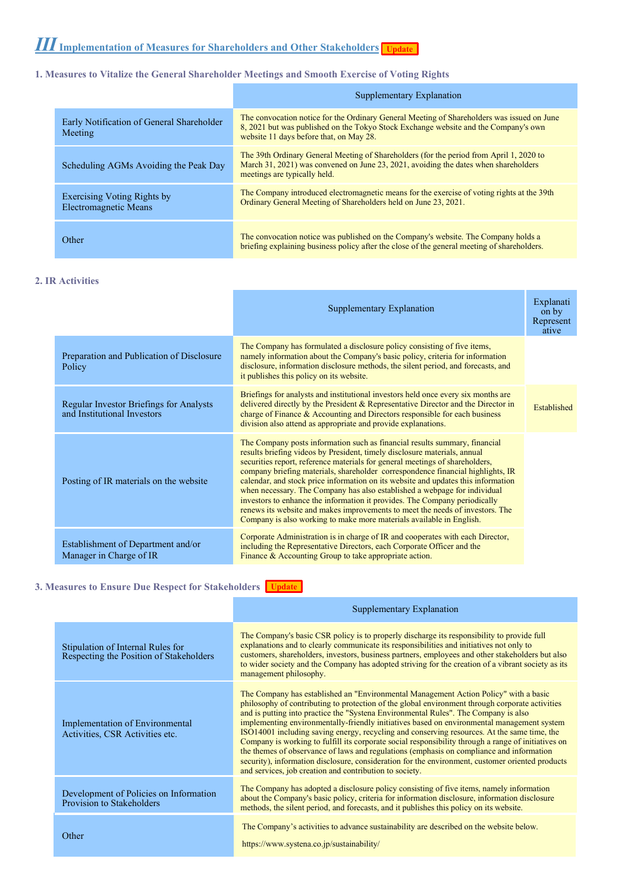# **1. Measures to Vitalize the General Shareholder Meetings and Smooth Exercise of Voting Rights**

|                                                             | Supplementary Explanation                                                                                                                                                                                                    |
|-------------------------------------------------------------|------------------------------------------------------------------------------------------------------------------------------------------------------------------------------------------------------------------------------|
| Early Notification of General Shareholder<br>Meeting        | The convocation notice for the Ordinary General Meeting of Shareholders was issued on June<br>8, 2021 but was published on the Tokyo Stock Exchange website and the Company's own<br>website 11 days before that, on May 28. |
| Scheduling AGMs Avoiding the Peak Day                       | The 39th Ordinary General Meeting of Shareholders (for the period from April 1, 2020 to<br>March 31, 2021) was convened on June 23, 2021, avoiding the dates when shareholders<br>meetings are typically held.               |
| <b>Exercising Voting Rights by</b><br>Electromagnetic Means | The Company introduced electromagnetic means for the exercise of voting rights at the 39th<br>Ordinary General Meeting of Shareholders held on June 23, 2021.                                                                |
| Other                                                       | The convocation notice was published on the Company's website. The Company holds a<br>briefing explaining business policy after the close of the general meeting of shareholders.                                            |

# **2. IR Activities**

|                                                                        | Supplementary Explanation                                                                                                                                                                                                                                                                                                                                                                                                                                                                                                                                                                                                                                                                                                           | Explanati<br>on by<br>Represent<br>ative |
|------------------------------------------------------------------------|-------------------------------------------------------------------------------------------------------------------------------------------------------------------------------------------------------------------------------------------------------------------------------------------------------------------------------------------------------------------------------------------------------------------------------------------------------------------------------------------------------------------------------------------------------------------------------------------------------------------------------------------------------------------------------------------------------------------------------------|------------------------------------------|
| Preparation and Publication of Disclosure<br>Policy                    | The Company has formulated a disclosure policy consisting of five items,<br>namely information about the Company's basic policy, criteria for information<br>disclosure, information disclosure methods, the silent period, and forecasts, and<br>it publishes this policy on its website.                                                                                                                                                                                                                                                                                                                                                                                                                                          |                                          |
| Regular Investor Briefings for Analysts<br>and Institutional Investors | Briefings for analysts and institutional investors held once every six months are<br>delivered directly by the President & Representative Director and the Director in<br>charge of Finance & Accounting and Directors responsible for each business<br>division also attend as appropriate and provide explanations.                                                                                                                                                                                                                                                                                                                                                                                                               | Established                              |
| Posting of IR materials on the website                                 | The Company posts information such as financial results summary, financial<br>results briefing videos by President, timely disclosure materials, annual<br>securities report, reference materials for general meetings of shareholders,<br>company briefing materials, shareholder correspondence financial highlights, IR<br>calendar, and stock price information on its website and updates this information<br>when necessary. The Company has also established a webpage for individual<br>investors to enhance the information it provides. The Company periodically<br>renews its website and makes improvements to meet the needs of investors. The<br>Company is also working to make more materials available in English. |                                          |
| Establishment of Department and/or<br>Manager in Charge of IR          | Corporate Administration is in charge of IR and cooperates with each Director,<br>including the Representative Directors, each Corporate Officer and the<br>Finance & Accounting Group to take appropriate action.                                                                                                                                                                                                                                                                                                                                                                                                                                                                                                                  |                                          |

# **3. Measures to Ensure Due Respect for Stakeholders Tupdate**

|                                                                              | Supplementary Explanation                                                                                                                                                                                                                                                                                                                                                                                                                                                                                                                                                                                                                                                                                                                                                                                                                     |
|------------------------------------------------------------------------------|-----------------------------------------------------------------------------------------------------------------------------------------------------------------------------------------------------------------------------------------------------------------------------------------------------------------------------------------------------------------------------------------------------------------------------------------------------------------------------------------------------------------------------------------------------------------------------------------------------------------------------------------------------------------------------------------------------------------------------------------------------------------------------------------------------------------------------------------------|
| Stipulation of Internal Rules for<br>Respecting the Position of Stakeholders | The Company's basic CSR policy is to properly discharge its responsibility to provide full<br>explanations and to clearly communicate its responsibilities and initiatives not only to<br>customers, shareholders, investors, business partners, employees and other stakeholders but also<br>to wider society and the Company has adopted striving for the creation of a vibrant society as its<br>management philosophy.                                                                                                                                                                                                                                                                                                                                                                                                                    |
| Implementation of Environmental<br>Activities, CSR Activities etc.           | The Company has established an "Environmental Management Action Policy" with a basic<br>philosophy of contributing to protection of the global environment through corporate activities<br>and is putting into practice the "Systema Environmental Rules". The Company is also<br>implementing environmentally-friendly initiatives based on environmental management system<br>ISO14001 including saving energy, recycling and conserving resources. At the same time, the<br>Company is working to fulfill its corporate social responsibility through a range of initiatives on<br>the themes of observance of laws and regulations (emphasis on compliance and information<br>security), information disclosure, consideration for the environment, customer oriented products<br>and services, job creation and contribution to society. |
| Development of Policies on Information<br>Provision to Stakeholders          | The Company has adopted a disclosure policy consisting of five items, namely information<br>about the Company's basic policy, criteria for information disclosure, information disclosure<br>methods, the silent period, and forecasts, and it publishes this policy on its website.                                                                                                                                                                                                                                                                                                                                                                                                                                                                                                                                                          |
| Other                                                                        | The Company's activities to advance sustainability are described on the website below.<br>https://www.systena.co.jp/sustainability/                                                                                                                                                                                                                                                                                                                                                                                                                                                                                                                                                                                                                                                                                                           |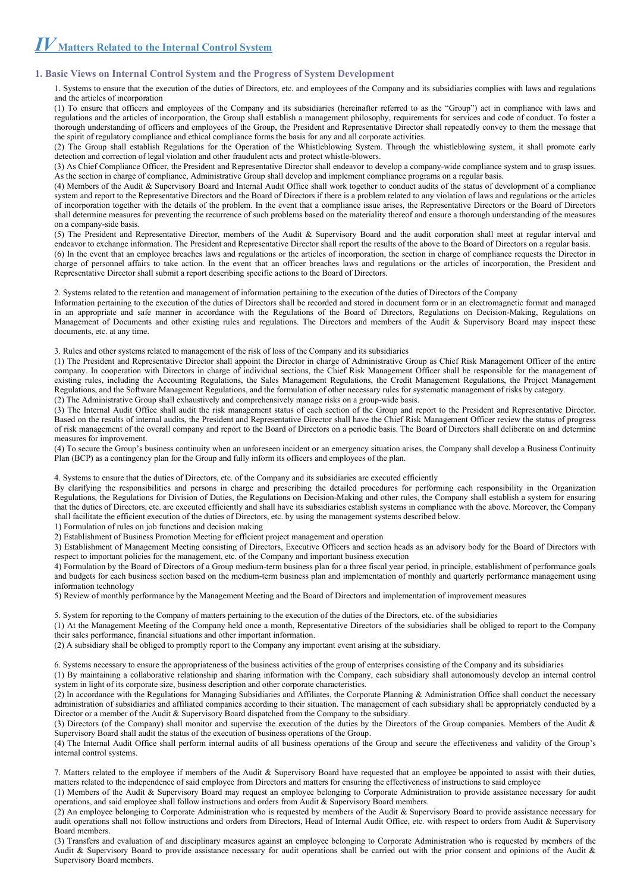*Ⅳ***Matters Related to the Internal Control System**

## **1. Basic Views on Internal Control System and the Progress of System Development**

1. Systems to ensure that the execution of the duties of Directors, etc. and employees of the Company and its subsidiaries complies with laws and regulations and the articles of incorporation

(1) To ensure that officers and employees of the Company and its subsidiaries (hereinafter referred to as the "Group") act in compliance with laws and regulations and the articles of incorporation, the Group shall establish a management philosophy, requirements for services and code of conduct. To foster a thorough understanding of officers and employees of the Group, the President and Representative Director shall repeatedly convey to them the message that the spirit of regulatory compliance and ethical compliance forms the basis for any and all corporate activities.

(2) The Group shall establish Regulations for the Operation of the Whistleblowing System. Through the whistleblowing system, it shall promote early detection and correction of legal violation and other fraudulent acts and protect whistle-blowers.

(3) As Chief Compliance Officer, the President and Representative Director shall endeavor to develop a company-wide compliance system and to grasp issues. As the section in charge of compliance, Administrative Group shall develop and implement compliance programs on a regular basis.

(4) Members of the Audit & Supervisory Board and Internal Audit Office shall work together to conduct audits of the status of development of a compliance system and report to the Representative Directors and the Board of Directors if there is a problem related to any violation of laws and regulations or the articles of incorporation together with the details of the problem. In the event that a compliance issue arises, the Representative Directors or the Board of Directors shall determine measures for preventing the recurrence of such problems based on the materiality thereof and ensure a thorough understanding of the measures on a company-side basis.

(5) The President and Representative Director, members of the Audit & Supervisory Board and the audit corporation shall meet at regular interval and endeavor to exchange information. The President and Representative Director shall report the results of the above to the Board of Directors on a regular basis.

(6) In the event that an employee breaches laws and regulations or the articles of incorporation, the section in charge of compliance requests the Director in charge of personnel affairs to take action. In the event that an officer breaches laws and regulations or the articles of incorporation, the President and Representative Director shall submit a report describing specific actions to the Board of Directors.

2. Systems related to the retention and management of information pertaining to the execution of the duties of Directors of the Company

Information pertaining to the execution of the duties of Directors shall be recorded and stored in document form or in an electromagnetic format and managed in an appropriate and safe manner in accordance with the Regulations of the Board of Directors, Regulations on Decision-Making, Regulations on Management of Documents and other existing rules and regulations. The Directors and members of the Audit & Supervisory Board may inspect these documents, etc. at any time.

3. Rules and other systems related to management of the risk of loss of the Company and its subsidiaries

(1) The President and Representative Director shall appoint the Director in charge of Administrative Group as Chief Risk Management Officer of the entire company. In cooperation with Directors in charge of individual sections, the Chief Risk Management Officer shall be responsible for the management of existing rules, including the Accounting Regulations, the Sales Management Regulations, the Credit Management Regulations, the Project Management Regulations, and the Software Management Regulations, and the formulation of other necessary rules for systematic management of risks by category. (2) The Administrative Group shall exhaustively and comprehensively manage risks on a group-wide basis.

(3) The Internal Audit Office shall audit the risk management status of each section of the Group and report to the President and Representative Director. Based on the results of internal audits, the President and Representative Director shall have the Chief Risk Management Officer review the status of progress of risk management of the overall company and report to the Board of Directors on a periodic basis. The Board of Directors shall deliberate on and determine measures for improvement.

(4) To secure the Group's business continuity when an unforeseen incident or an emergency situation arises, the Company shall develop a Business Continuity Plan (BCP) as a contingency plan for the Group and fully inform its officers and employees of the plan.

4. Systems to ensure that the duties of Directors, etc. of the Company and its subsidiaries are executed efficiently

By clarifying the responsibilities and persons in charge and prescribing the detailed procedures for performing each responsibility in the Organization Regulations, the Regulations for Division of Duties, the Regulations on Decision-Making and other rules, the Company shall establish a system for ensuring that the duties of Directors, etc. are executed efficiently and shall have its subsidiaries establish systems in compliance with the above. Moreover, the Company shall facilitate the efficient execution of the duties of Directors, etc. by using the management systems described below.

1) Formulation of rules on job functions and decision making

2) Establishment of Business Promotion Meeting for efficient project management and operation

3) Establishment of Management Meeting consisting of Directors, Executive Officers and section heads as an advisory body for the Board of Directors with respect to important policies for the management, etc. of the Company and important business execution

4) Formulation by the Board of Directors of a Group medium-term business plan for a three fiscal year period, in principle, establishment of performance goals and budgets for each business section based on the medium-term business plan and implementation of monthly and quarterly performance management using information technology

5) Review of monthly performance by the Management Meeting and the Board of Directors and implementation of improvement measures

5. System for reporting to the Company of matters pertaining to the execution of the duties of the Directors, etc. of the subsidiaries

(1) At the Management Meeting of the Company held once a month, Representative Directors of the subsidiaries shall be obliged to report to the Company their sales performance, financial situations and other important information.

(2) A subsidiary shall be obliged to promptly report to the Company any important event arising at the subsidiary.

6. Systems necessary to ensure the appropriateness of the business activities of the group of enterprises consisting of the Company and its subsidiaries

(1) By maintaining a collaborative relationship and sharing information with the Company, each subsidiary shall autonomously develop an internal control system in light of its corporate size, business description and other corporate characteristics.

(2) In accordance with the Regulations for Managing Subsidiaries and Affiliates, the Corporate Planning & Administration Office shall conduct the necessary administration of subsidiaries and affiliated companies according to their situation. The management of each subsidiary shall be appropriately conducted by a Director or a member of the Audit & Supervisory Board dispatched from the Company to the subsidiary.

(3) Directors (of the Company) shall monitor and supervise the execution of the duties by the Directors of the Group companies. Members of the Audit & Supervisory Board shall audit the status of the execution of business operations of the Group.

(4) The Internal Audit Office shall perform internal audits of all business operations of the Group and secure the effectiveness and validity of the Group's internal control systems.

7. Matters related to the employee if members of the Audit & Supervisory Board have requested that an employee be appointed to assist with their duties, matters related to the independence of said employee from Directors and matters for ensuring the effectiveness of instructions to said employee

(1) Members of the Audit & Supervisory Board may request an employee belonging to Corporate Administration to provide assistance necessary for audit operations, and said employee shall follow instructions and orders from Audit & Supervisory Board members.

(2) An employee belonging to Corporate Administration who is requested by members of the Audit & Supervisory Board to provide assistance necessary for audit operations shall not follow instructions and orders from Directors, Head of Internal Audit Office, etc. with respect to orders from Audit & Supervisory Board members.

(3) Transfers and evaluation of and disciplinary measures against an employee belonging to Corporate Administration who is requested by members of the Audit & Supervisory Board to provide assistance necessary for audit operations shall be carried out with the prior consent and opinions of the Audit & Supervisory Board members.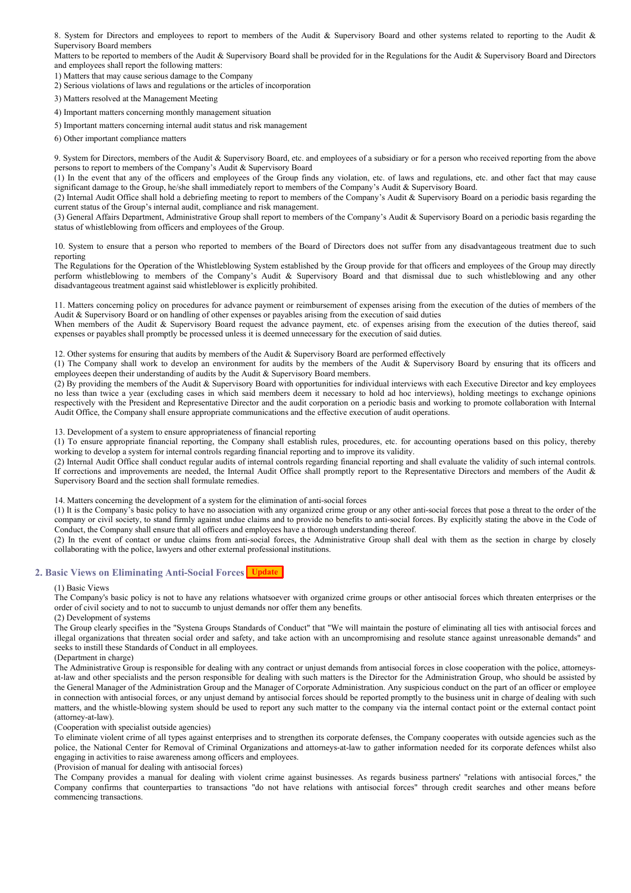8. System for Directors and employees to report to members of the Audit & Supervisory Board and other systems related to reporting to the Audit & Supervisory Board members

Matters to be reported to members of the Audit & Supervisory Board shall be provided for in the Regulations for the Audit & Supervisory Board and Directors and employees shall report the following matters:

1) Matters that may cause serious damage to the Company

2) Serious violations of laws and regulations or the articles of incorporation

3) Matters resolved at the Management Meeting

4) Important matters concerning monthly management situation

5) Important matters concerning internal audit status and risk management

6) Other important compliance matters

9. System for Directors, members of the Audit & Supervisory Board, etc. and employees of a subsidiary or for a person who received reporting from the above persons to report to members of the Company's Audit & Supervisory Board

(1) In the event that any of the officers and employees of the Group finds any violation, etc. of laws and regulations, etc. and other fact that may cause significant damage to the Group, he/she shall immediately report to members of the Company's Audit & Supervisory Board.

(2) Internal Audit Office shall hold a debriefing meeting to report to members of the Company's Audit & Supervisory Board on a periodic basis regarding the current status of the Group's internal audit, compliance and risk management.

(3) General Affairs Department, Administrative Group shall report to members of the Company's Audit & Supervisory Board on a periodic basis regarding the status of whistleblowing from officers and employees of the Group.

10. System to ensure that a person who reported to members of the Board of Directors does not suffer from any disadvantageous treatment due to such reporting

The Regulations for the Operation of the Whistleblowing System established by the Group provide for that officers and employees of the Group may directly perform whistleblowing to members of the Company's Audit & Supervisory Board and that dismissal due to such whistleblowing and any other disadvantageous treatment against said whistleblower is explicitly prohibited.

11. Matters concerning policy on procedures for advance payment or reimbursement of expenses arising from the execution of the duties of members of the Audit & Supervisory Board or on handling of other expenses or payables arising from the execution of said duties

When members of the Audit & Supervisory Board request the advance payment, etc. of expenses arising from the execution of the duties thereof, said expenses or payables shall promptly be processed unless it is deemed unnecessary for the execution of said duties.

12. Other systems for ensuring that audits by members of the Audit & Supervisory Board are performed effectively

(1) The Company shall work to develop an environment for audits by the members of the Audit & Supervisory Board by ensuring that its officers and employees deepen their understanding of audits by the Audit & Supervisory Board members.

(2) By providing the members of the Audit & Supervisory Board with opportunities for individual interviews with each Executive Director and key employees no less than twice a year (excluding cases in which said members deem it necessary to hold ad hoc interviews), holding meetings to exchange opinions respectively with the President and Representative Director and the audit corporation on a periodic basis and working to promote collaboration with Internal Audit Office, the Company shall ensure appropriate communications and the effective execution of audit operations.

13. Development of a system to ensure appropriateness of financial reporting

(1) To ensure appropriate financial reporting, the Company shall establish rules, procedures, etc. for accounting operations based on this policy, thereby working to develop a system for internal controls regarding financial reporting and to improve its validity.

(2) Internal Audit Office shall conduct regular audits of internal controls regarding financial reporting and shall evaluate the validity of such internal controls. If corrections and improvements are needed, the Internal Audit Office shall promptly report to the Representative Directors and members of the Audit & Supervisory Board and the section shall formulate remedies.

14. Matters concerning the development of a system for the elimination of anti-social forces

(1) It is the Company's basic policy to have no association with any organized crime group or any other anti-social forces that pose a threat to the order of the company or civil society, to stand firmly against undue claims and to provide no benefits to anti-social forces. By explicitly stating the above in the Code of Conduct, the Company shall ensure that all officers and employees have a thorough understanding thereof.

(2) In the event of contact or undue claims from anti-social forces, the Administrative Group shall deal with them as the section in charge by closely collaborating with the police, lawyers and other external professional institutions.

# 2. Basic Views on Eliminating Anti-Social Forces <mark>Update</mark>

#### (1) Basic Views

The Company's basic policy is not to have any relations whatsoever with organized crime groups or other antisocial forces which threaten enterprises or the order of civil society and to not to succumb to unjust demands nor offer them any benefits.

#### (2) Development of systems

The Group clearly specifies in the "Systena Groups Standards of Conduct" that "We will maintain the posture of eliminating all ties with antisocial forces and illegal organizations that threaten social order and safety, and take action with an uncompromising and resolute stance against unreasonable demands" and seeks to instill these Standards of Conduct in all employees.

## (Department in charge)

The Administrative Group is responsible for dealing with any contract or unjust demands from antisocial forces in close cooperation with the police, attorneysat-law and other specialists and the person responsible for dealing with such matters is the Director for the Administration Group, who should be assisted by the General Manager of the Administration Group and the Manager of Corporate Administration. Any suspicious conduct on the part of an officer or employee in connection with antisocial forces, or any unjust demand by antisocial forces should be reported promptly to the business unit in charge of dealing with such matters, and the whistle-blowing system should be used to report any such matter to the company via the internal contact point or the external contact point (attorney-at-law).

## (Cooperation with specialist outside agencies)

To eliminate violent crime of all types against enterprises and to strengthen its corporate defenses, the Company cooperates with outside agencies such as the police, the National Center for Removal of Criminal Organizations and attorneys-at-law to gather information needed for its corporate defences whilst also engaging in activities to raise awareness among officers and employees.

(Provision of manual for dealing with antisocial forces)

The Company provides a manual for dealing with violent crime against businesses. As regards business partners' "relations with antisocial forces," the Company confirms that counterparties to transactions "do not have relations with antisocial forces" through credit searches and other means before commencing transactions.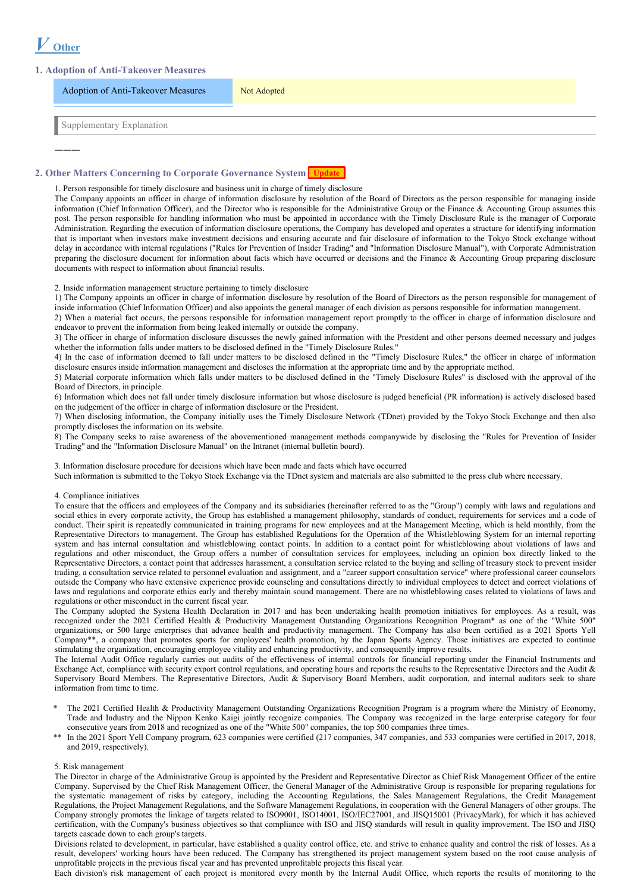# *Ⅴ* **Other**

―――

# **1. Adoption of Anti-Takeover Measures**

| <b>Adoption of Anti-Takeover Measures</b> | Not Adopted |
|-------------------------------------------|-------------|
| Supplementary Explanation                 |             |

# **2. Other Matters Concerning to Corporate Governance System Update**

1. Person responsible for timely disclosure and business unit in charge of timely disclosure

The Company appoints an officer in charge of information disclosure by resolution of the Board of Directors as the person responsible for managing inside information (Chief Information Officer), and the Director who is responsible for the Administrative Group or the Finance & Accounting Group assumes this post. The person responsible for handling information who must be appointed in accordance with the Timely Disclosure Rule is the manager of Corporate Administration. Regarding the execution of information disclosure operations, the Company has developed and operates a structure for identifying information that is important when investors make investment decisions and ensuring accurate and fair disclosure of information to the Tokyo Stock exchange without delay in accordance with internal regulations ("Rules for Prevention of Insider Trading" and "Information Disclosure Manual"), with Corporate Administration preparing the disclosure document for information about facts which have occurred or decisions and the Finance & Accounting Group preparing disclosure documents with respect to information about financial results.

2. Inside information management structure pertaining to timely disclosure

1) The Company appoints an officer in charge of information disclosure by resolution of the Board of Directors as the person responsible for management of inside information (Chief Information Officer) and also appoints the general manager of each division as persons responsible for information management.

2) When a material fact occurs, the persons responsible for information management report promptly to the officer in charge of information disclosure and endeavor to prevent the information from being leaked internally or outside the company.

3) The officer in charge of information disclosure discusses the newly gained information with the President and other persons deemed necessary and judges whether the information falls under matters to be disclosed defined in the "Timely Disclosure Rules."

4) In the case of information deemed to fall under matters to be disclosed defined in the "Timely Disclosure Rules," the officer in charge of information disclosure ensures inside information management and discloses the information at the appropriate time and by the appropriate method.

5) Material corporate information which falls under matters to be disclosed defined in the "Timely Disclosure Rules" is disclosed with the approval of the Board of Directors, in principle.

6) Information which does not fall under timely disclosure information but whose disclosure is judged beneficial (PR information) is actively disclosed based on the judgement of the officer in charge of information disclosure or the President.

7) When disclosing information, the Company initially uses the Timely Disclosure Network (TDnet) provided by the Tokyo Stock Exchange and then also promptly discloses the information on its website.

8) The Company seeks to raise awareness of the abovementioned management methods companywide by disclosing the "Rules for Prevention of Insider Trading" and the "Information Disclosure Manual" on the Intranet (internal bulletin board).

3. Information disclosure procedure for decisions which have been made and facts which have occurred

Such information is submitted to the Tokyo Stock Exchange via the TDnet system and materials are also submitted to the press club where necessary.

## 4. Compliance initiatives

To ensure that the officers and employees of the Company and its subsidiaries (hereinafter referred to as the "Group") comply with laws and regulations and social ethics in every corporate activity, the Group has established a management philosophy, standards of conduct, requirements for services and a code of conduct. Their spirit is repeatedly communicated in training programs for new employees and at the Management Meeting, which is held monthly, from the Representative Directors to management. The Group has established Regulations for the Operation of the Whistleblowing System for an internal reporting system and has internal consultation and whistleblowing contact points. In addition to a contact point for whistleblowing about violations of laws and regulations and other misconduct, the Group offers a number of consultation services for employees, including an opinion box directly linked to the Representative Directors, a contact point that addresses harassment, a consultation service related to the buying and selling of treasury stock to prevent insider trading, a consultation service related to personnel evaluation and assignment, and a "career support consultation service" where professional career counselors outside the Company who have extensive experience provide counseling and consultations directly to individual employees to detect and correct violations of laws and regulations and corporate ethics early and thereby maintain sound management. There are no whistleblowing cases related to violations of laws and regulations or other misconduct in the current fiscal year.

The Company adopted the Systena Health Declaration in 2017 and has been undertaking health promotion initiatives for employees. As a result, was recognized under the 2021 Certified Health & Productivity Management Outstanding Organizations Recognition Program\* as one of the "White 500" organizations, or 500 large enterprises that advance health and productivity management. The Company has also been certified as a 2021 Sports Yell Company\*\*, a company that promotes sports for employees' health promotion, by the Japan Sports Agency. Those initiatives are expected to continue stimulating the organization, encouraging employee vitality and enhancing productivity, and consequently improve results.

The Internal Audit Office regularly carries out audits of the effectiveness of internal controls for financial reporting under the Financial Instruments and Exchange Act, compliance with security export control regulations, and operating hours and reports the results to the Representative Directors and the Audit & Supervisory Board Members. The Representative Directors, Audit & Supervisory Board Members, audit corporation, and internal auditors seek to share information from time to time.

- The 2021 Certified Health & Productivity Management Outstanding Organizations Recognition Program is a program where the Ministry of Economy, Trade and Industry and the Nippon Kenko Kaigi jointly recognize companies. The Company was recognized in the large enterprise category for four consecutive years from 2018 and recognized as one of the "White 500" companies, the top 500 companies three times.
- \*\* In the 2021 Sport Yell Company program, 623 companies were certified (217 companies, 347 companies, and 533 companies were certified in 2017, 2018, and 2019, respectively).

#### 5. Risk management

The Director in charge of the Administrative Group is appointed by the President and Representative Director as Chief Risk Management Officer of the entire Company. Supervised by the Chief Risk Management Officer, the General Manager of the Administrative Group is responsible for preparing regulations for the systematic management of risks by category, including the Accounting Regulations, the Sales Management Regulations, the Credit Management Regulations, the Project Management Regulations, and the Software Management Regulations, in cooperation with the General Managers of other groups. The Company strongly promotes the linkage of targets related to ISO9001, ISO14001, ISO/IEC27001, and JISQ15001 (PrivacyMark), for which it has achieved certification, with the Company's business objectives so that compliance with ISO and JISQ standards will result in quality improvement. The ISO and JISQ targets cascade down to each group's targets.

Divisions related to development, in particular, have established a quality control office, etc. and strive to enhance quality and control the risk of losses. As a result, developers' working hours have been reduced. The Company has strengthened its project management system based on the root cause analysis of unprofitable projects in the previous fiscal year and has prevented unprofitable projects this fiscal year.

Each division's risk management of each project is monitored every month by the Internal Audit Office, which reports the results of monitoring to the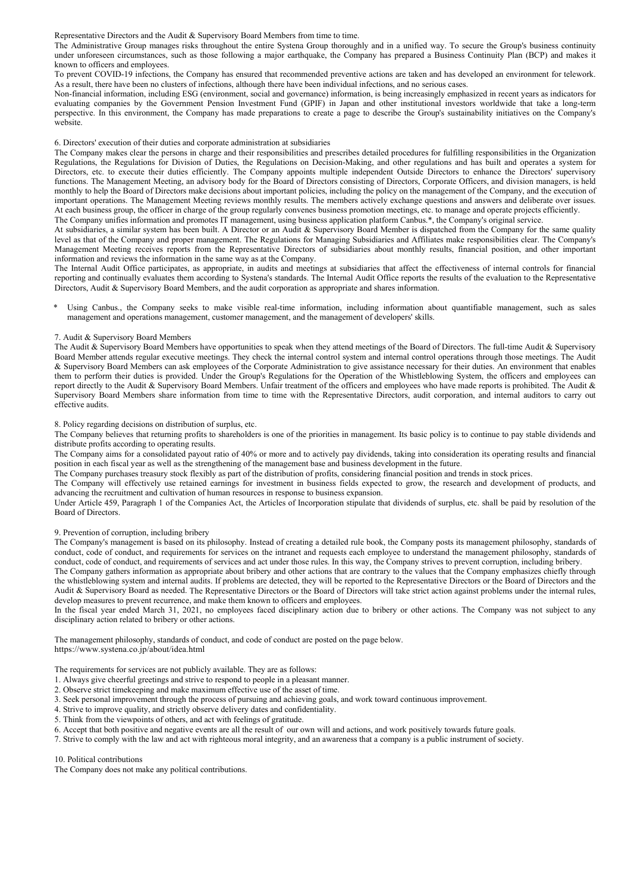Representative Directors and the Audit & Supervisory Board Members from time to time.

The Administrative Group manages risks throughout the entire Systena Group thoroughly and in a unified way. To secure the Group's business continuity under unforeseen circumstances, such as those following a major earthquake, the Company has prepared a Business Continuity Plan (BCP) and makes it known to officers and employees.

To prevent COVID-19 infections, the Company has ensured that recommended preventive actions are taken and has developed an environment for telework. As a result, there have been no clusters of infections, although there have been individual infections, and no serious cases.

Non-financial information, including ESG (environment, social and governance) information, is being increasingly emphasized in recent years as indicators for evaluating companies by the Government Pension Investment Fund (GPIF) in Japan and other institutional investors worldwide that take a long-term perspective. In this environment, the Company has made preparations to create a page to describe the Group's sustainability initiatives on the Company's website.

#### 6. Directors' execution of their duties and corporate administration at subsidiaries

The Company makes clear the persons in charge and their responsibilities and prescribes detailed procedures for fulfilling responsibilities in the Organization Regulations, the Regulations for Division of Duties, the Regulations on Decision-Making, and other regulations and has built and operates a system for Directors, etc. to execute their duties efficiently. The Company appoints multiple independent Outside Directors to enhance the Directors' supervisory functions. The Management Meeting, an advisory body for the Board of Directors consisting of Directors, Corporate Officers, and division managers, is held monthly to help the Board of Directors make decisions about important policies, including the policy on the management of the Company, and the execution of important operations. The Management Meeting reviews monthly results. The members actively exchange questions and answers and deliberate over issues. At each business group, the officer in charge of the group regularly convenes business promotion meetings, etc. to manage and operate projects efficiently. The Company unifies information and promotes IT management, using business application platform Canbus.\*, the Company's original service.

At subsidiaries, a similar system has been built. A Director or an Audit & Supervisory Board Member is dispatched from the Company for the same quality level as that of the Company and proper management. The Regulations for Managing Subsidiaries and Affiliates make responsibilities clear. The Company's Management Meeting receives reports from the Representative Directors of subsidiaries about monthly results, financial position, and other important information and reviews the information in the same way as at the Company.

The Internal Audit Office participates, as appropriate, in audits and meetings at subsidiaries that affect the effectiveness of internal controls for financial reporting and continually evaluates them according to Systena's standards. The Internal Audit Office reports the results of the evaluation to the Representative Directors, Audit & Supervisory Board Members, and the audit corporation as appropriate and shares information.

\* Using Canbus., the Company seeks to make visible real-time information, including information about quantifiable management, such as sales management and operations management, customer management, and the management of developers' skills.

#### 7. Audit & Supervisory Board Members

The Audit & Supervisory Board Members have opportunities to speak when they attend meetings of the Board of Directors. The full-time Audit & Supervisory Board Member attends regular executive meetings. They check the internal control system and internal control operations through those meetings. The Audit & Supervisory Board Members can ask employees of the Corporate Administration to give assistance necessary for their duties. An environment that enables them to perform their duties is provided. Under the Group's Regulations for the Operation of the Whistleblowing System, the officers and employees can report directly to the Audit & Supervisory Board Members. Unfair treatment of the officers and employees who have made reports is prohibited. The Audit & Supervisory Board Members share information from time to time with the Representative Directors, audit corporation, and internal auditors to carry out effective audits.

#### 8. Policy regarding decisions on distribution of surplus, etc.

The Company believes that returning profits to shareholders is one of the priorities in management. Its basic policy is to continue to pay stable dividends and distribute profits according to operating results.

The Company aims for a consolidated payout ratio of 40% or more and to actively pay dividends, taking into consideration its operating results and financial position in each fiscal year as well as the strengthening of the management base and business development in the future.

The Company purchases treasury stock flexibly as part of the distribution of profits, considering financial position and trends in stock prices.

The Company will effectively use retained earnings for investment in business fields expected to grow, the research and development of products, and advancing the recruitment and cultivation of human resources in response to business expansion.

Under Article 459, Paragraph 1 of the Companies Act, the Articles of Incorporation stipulate that dividends of surplus, etc. shall be paid by resolution of the Board of Directors.

#### 9. Prevention of corruption, including bribery

The Company's management is based on its philosophy. Instead of creating a detailed rule book, the Company posts its management philosophy, standards of conduct, code of conduct, and requirements for services on the intranet and requests each employee to understand the management philosophy, standards of conduct, code of conduct, and requirements of services and act under those rules. In this way, the Company strives to prevent corruption, including bribery.

The Company gathers information as appropriate about bribery and other actions that are contrary to the values that the Company emphasizes chiefly through the whistleblowing system and internal audits. If problems are detected, they will be reported to the Representative Directors or the Board of Directors and the Audit & Supervisory Board as needed. The Representative Directors or the Board of Directors will take strict action against problems under the internal rules, develop measures to prevent recurrence, and make them known to officers and employees.

In the fiscal year ended March 31, 2021, no employees faced disciplinary action due to bribery or other actions. The Company was not subject to any disciplinary action related to bribery or other actions.

The management philosophy, standards of conduct, and code of conduct are posted on the page below. https://www.systena.co.jp/about/idea.html

The requirements for services are not publicly available. They are as follows:

1. Always give cheerful greetings and strive to respond to people in a pleasant manner.

- 2. Observe strict timekeeping and make maximum effective use of the asset of time.
- 3. Seek personal improvement through the process of pursuing and achieving goals, and work toward continuous improvement.
- 4. Strive to improve quality, and strictly observe delivery dates and confidentiality.
- 5. Think from the viewpoints of others, and act with feelings of gratitude.
- 6. Accept that both positive and negative events are all the result of our own will and actions, and work positively towards future goals.

7. Strive to comply with the law and act with righteous moral integrity, and an awareness that a company is a public instrument of society.

#### 10. Political contributions

The Company does not make any political contributions.